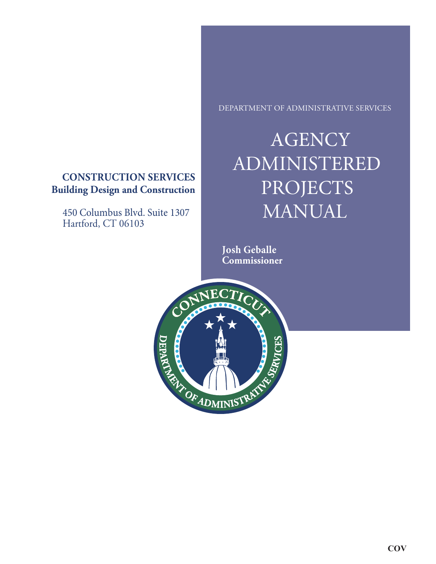# **CONSTRUCTION SERVICES Building Design and Construction**

450 Columbus Blvd. Suite 1307 Hartford, CT 06103

DEPARTMENT OF ADMINISTRATIVE SERVICES

# **AGENCY** ADMINISTERED PROJECTS MANUAL

**Josh Geballe Commissioner**

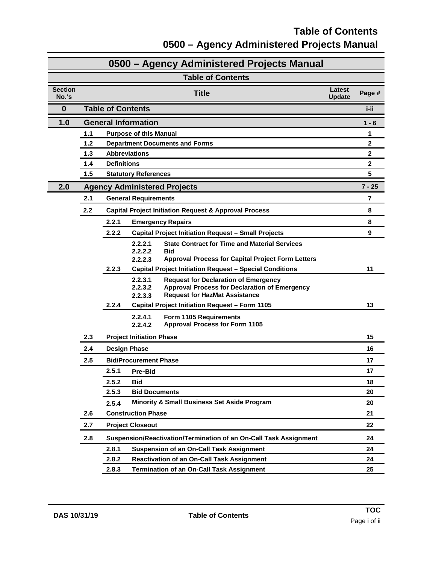### **Table of Contents 0500 – Agency Administered Projects Manual**

| 0500 - Agency Administered Projects Manual |       |                                                                  |                                                                                                                                                                              |  |                |  |
|--------------------------------------------|-------|------------------------------------------------------------------|------------------------------------------------------------------------------------------------------------------------------------------------------------------------------|--|----------------|--|
| <b>Table of Contents</b>                   |       |                                                                  |                                                                                                                                                                              |  |                |  |
| <b>Section</b><br>No.'s                    |       | Latest<br><b>Title</b><br><b>Update</b>                          |                                                                                                                                                                              |  | Page #         |  |
| $\bf{0}$                                   |       | <b>Table of Contents</b><br>i-ii                                 |                                                                                                                                                                              |  |                |  |
| 1.0                                        |       | <b>General Information</b><br>$1 - 6$                            |                                                                                                                                                                              |  |                |  |
|                                            | 1.1   |                                                                  | <b>Purpose of this Manual</b>                                                                                                                                                |  | 1              |  |
|                                            | 1.2   |                                                                  | <b>Department Documents and Forms</b>                                                                                                                                        |  | $\mathbf 2$    |  |
|                                            | $1.3$ | <b>Abbreviations</b><br>$\mathbf 2$                              |                                                                                                                                                                              |  |                |  |
|                                            | 1.4   | <b>Definitions</b>                                               |                                                                                                                                                                              |  | $\overline{2}$ |  |
|                                            | 1.5   |                                                                  | <b>Statutory References</b>                                                                                                                                                  |  | 5              |  |
| 2.0                                        |       |                                                                  | <b>Agency Administered Projects</b>                                                                                                                                          |  | $7 - 25$       |  |
|                                            | 2.1   |                                                                  | <b>General Requirements</b>                                                                                                                                                  |  | $\overline{7}$ |  |
|                                            | 2.2   |                                                                  | <b>Capital Project Initiation Request &amp; Approval Process</b>                                                                                                             |  | 8              |  |
|                                            |       | 2.2.1                                                            | <b>Emergency Repairs</b>                                                                                                                                                     |  | 8              |  |
|                                            |       | 2.2.2                                                            | <b>Capital Project Initiation Request - Small Projects</b>                                                                                                                   |  | 9              |  |
|                                            |       |                                                                  | 2.2.2.1<br><b>State Contract for Time and Material Services</b><br>2.2.2.2<br><b>Bid</b><br><b>Approval Process for Capital Project Form Letters</b><br>2.2.2.3              |  |                |  |
|                                            |       | 2.2.3                                                            | <b>Capital Project Initiation Request - Special Conditions</b>                                                                                                               |  | 11             |  |
|                                            |       |                                                                  | 2.2.3.1<br><b>Request for Declaration of Emergency</b><br>2.2.3.2<br><b>Approval Process for Declaration of Emergency</b><br><b>Request for HazMat Assistance</b><br>2.2.3.3 |  |                |  |
|                                            |       | 2.2.4                                                            | Capital Project Initiation Request - Form 1105                                                                                                                               |  | 13             |  |
|                                            |       |                                                                  | 2.2.4.1<br>Form 1105 Requirements<br><b>Approval Process for Form 1105</b><br>2.2.4.2                                                                                        |  |                |  |
|                                            | 2.3   |                                                                  | <b>Project Initiation Phase</b>                                                                                                                                              |  | 15             |  |
|                                            | 2.4   | <b>Design Phase</b>                                              |                                                                                                                                                                              |  | 16             |  |
|                                            | 2.5   |                                                                  | <b>Bid/Procurement Phase</b>                                                                                                                                                 |  | 17             |  |
|                                            |       | 2.5.1                                                            | <b>Pre-Bid</b>                                                                                                                                                               |  | 17             |  |
|                                            |       | 2.5.2                                                            | <b>Bid</b>                                                                                                                                                                   |  | 18             |  |
|                                            |       | 2.5.3                                                            | <b>Bid Documents</b>                                                                                                                                                         |  | 20             |  |
|                                            |       | 2.5.4                                                            | <b>Minority &amp; Small Business Set Aside Program</b>                                                                                                                       |  | 20             |  |
|                                            | 2.6   | <b>Construction Phase</b><br><b>Project Closeout</b>             |                                                                                                                                                                              |  | 21             |  |
|                                            | 2.7   |                                                                  |                                                                                                                                                                              |  | 22             |  |
|                                            | 2.8   |                                                                  | Suspension/Reactivation/Termination of an On-Call Task Assignment                                                                                                            |  | 24             |  |
|                                            |       | 2.8.1                                                            | <b>Suspension of an On-Call Task Assignment</b>                                                                                                                              |  | 24             |  |
|                                            |       | 2.8.2<br><b>Reactivation of an On-Call Task Assignment</b><br>24 |                                                                                                                                                                              |  |                |  |
|                                            |       | 2.8.3                                                            | <b>Termination of an On-Call Task Assignment</b>                                                                                                                             |  | 25             |  |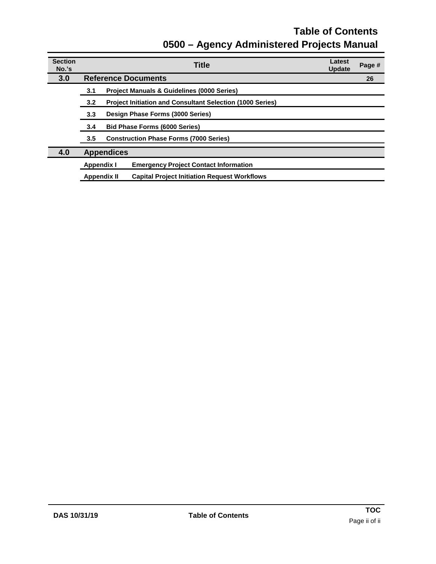### **Table of Contents 0500 – Agency Administered Projects Manual**

| <b>Section</b><br>No.'s |                                                                         | Latest<br><b>Title</b><br>Page #<br><b>Update</b>                         |  |  |  |  |
|-------------------------|-------------------------------------------------------------------------|---------------------------------------------------------------------------|--|--|--|--|
| 3.0                     | <b>Reference Documents</b><br>26                                        |                                                                           |  |  |  |  |
|                         | 3.1                                                                     | <b>Project Manuals &amp; Guidelines (0000 Series)</b>                     |  |  |  |  |
|                         | <b>Project Initiation and Consultant Selection (1000 Series)</b><br>3.2 |                                                                           |  |  |  |  |
|                         | Design Phase Forms (3000 Series)<br>3.3 <sub>2</sub>                    |                                                                           |  |  |  |  |
|                         | 3.4                                                                     | <b>Bid Phase Forms (6000 Series)</b>                                      |  |  |  |  |
|                         | <b>Construction Phase Forms (7000 Series)</b><br>3.5                    |                                                                           |  |  |  |  |
| 4.0                     | <b>Appendices</b>                                                       |                                                                           |  |  |  |  |
|                         | <b>Appendix I</b>                                                       | <b>Emergency Project Contact Information</b>                              |  |  |  |  |
|                         |                                                                         | <b>Capital Project Initiation Request Workflows</b><br><b>Appendix II</b> |  |  |  |  |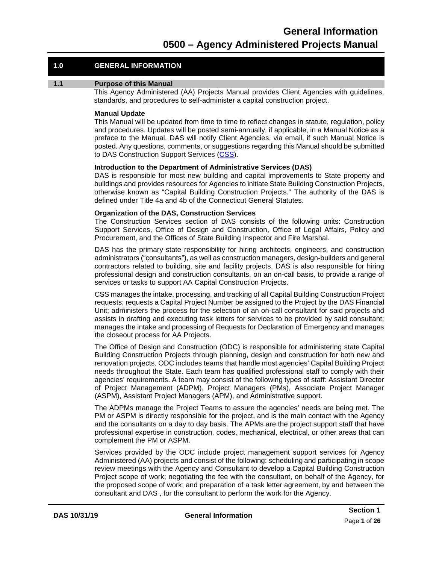#### **1.0 GENERAL INFORMATION**

#### <span id="page-3-0"></span>**1.1 Purpose of this Manual**

This Agency Administered (AA) Projects Manual provides Client Agencies with guidelines, standards, and procedures to self-administer a capital construction project.

#### **Manual Update**

This Manual will be updated from time to time to reflect changes in statute, regulation, policy and procedures. Updates will be posted semi-annually, if applicable, in a Manual Notice as a preface to the Manual. DAS will notify Client Agencies, via email, if such Manual Notice is posted. Any questions, comments, or suggestions regarding this Manual should be submitted to DAS Construction Support Services [\(CSS\)](mailto:craig.russell@ct.gov).

#### **Introduction to the Department of Administrative Services (DAS)**

DAS is responsible for most new building and capital improvements to State property and buildings and provides resources for Agencies to initiate State Building Construction Projects, otherwise known as "Capital Building Construction Projects." The authority of the DAS is defined under Title 4a and 4b of the Connecticut General Statutes.

#### **Organization of the DAS, Construction Services**

The Construction Services section of DAS consists of the following units: Construction Support Services, Office of Design and Construction, Office of Legal Affairs, Policy and Procurement, and the Offices of State Building Inspector and Fire Marshal.

DAS has the primary state responsibility for hiring architects, engineers, and construction administrators ("consultants"), as well as construction managers, design-builders and general contractors related to building, site and facility projects. DAS is also responsible for hiring professional design and construction consultants, on an on-call basis, to provide a range of services or tasks to support AA Capital Construction Projects.

CSS manages the intake, processing, and tracking of all Capital Building Construction Project requests; requests a Capital Project Number be assigned to the Project by the DAS Financial Unit; administers the process for the selection of an on-call consultant for said projects and assists in drafting and executing task letters for services to be provided by said consultant; manages the intake and processing of Requests for Declaration of Emergency and manages the closeout process for AA Projects.

The Office of Design and Construction (ODC) is responsible for administering state Capital Building Construction Projects through planning, design and construction for both new and renovation projects. ODC includes teams that handle most agencies' Capital Building Project needs throughout the State. Each team has qualified professional staff to comply with their agencies' requirements. A team may consist of the following types of staff: Assistant Director of Project Management (ADPM), Project Managers (PMs), Associate Project Manager (ASPM), Assistant Project Managers (APM), and Administrative support.

The ADPMs manage the Project Teams to assure the agencies' needs are being met. The PM or ASPM is directly responsible for the project, and is the main contact with the Agency and the consultants on a day to day basis. The APMs are the project support staff that have professional expertise in construction, codes, mechanical, electrical, or other areas that can complement the PM or ASPM.

Services provided by the ODC include project management support services for Agency Administered (AA) projects and consist of the following: scheduling and participating in scope review meetings with the Agency and Consultant to develop a Capital Building Construction Project scope of work; negotiating the fee with the consultant, on behalf of the Agency, for the proposed scope of work; and preparation of a task letter agreement, by and between the consultant and DAS , for the consultant to perform the work for the Agency.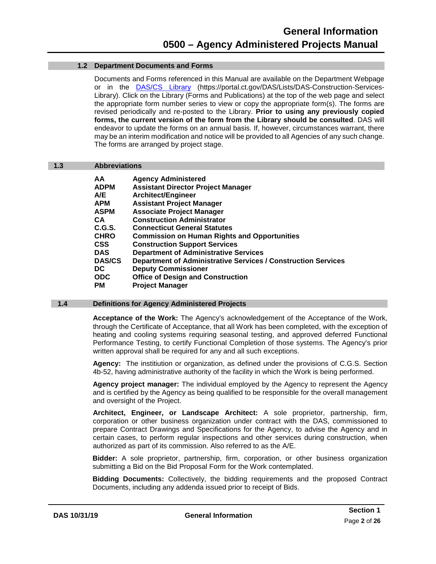#### <span id="page-4-0"></span>**1.2 Department Documents and Forms**

Documents and Forms referenced in this Manual are available on the Department Webpage or in the **[DAS/CS Library](https://portal.ct.gov/DAS/Lists/DAS-Construction-Services-Library)** (https://portal.ct.gov/DAS/Lists/DAS-Construction-Services-Library). Click on the Library (Forms and Publications) at the top of the web page and select the appropriate form number series to view or copy the appropriate form(s). The forms are revised periodically and re-posted to the Library. **Prior to using any previously copied forms, the current version of the form from the Library should be consulted**. DAS will endeavor to update the forms on an annual basis. If, however, circumstances warrant, there may be an interim modification and notice will be provided to all Agencies of any such change. The forms are arranged by project stage.

#### <span id="page-4-1"></span>**1.3 Abbreviations**

| AΑ            | <b>Agency Administered</b>                                           |
|---------------|----------------------------------------------------------------------|
| ADPM          | <b>Assistant Director Project Manager</b>                            |
| A/E           | <b>Architect/Engineer</b>                                            |
| APM           | <b>Assistant Project Manager</b>                                     |
| <b>ASPM</b>   | <b>Associate Project Manager</b>                                     |
| CА            | <b>Construction Administrator</b>                                    |
| C.G.S.        | <b>Connecticut General Statutes</b>                                  |
| <b>CHRO</b>   | <b>Commission on Human Rights and Opportunities</b>                  |
| CSS           | <b>Construction Support Services</b>                                 |
| DAS           | <b>Department of Administrative Services</b>                         |
| <b>DAS/CS</b> | <b>Department of Administrative Services / Construction Services</b> |
| DC            | <b>Deputy Commissioner</b>                                           |
| ODC           | <b>Office of Design and Construction</b>                             |
| PМ            | <b>Project Manager</b>                                               |
|               |                                                                      |

#### <span id="page-4-2"></span>**1.4 Definitions for Agency Administered Projects**

**Acceptance of the Work:** The Agency's acknowledgement of the Acceptance of the Work, through the Certificate of Acceptance, that all Work has been completed, with the exception of heating and cooling systems requiring seasonal testing, and approved deferred Functional Performance Testing, to certify Functional Completion of those systems. The Agency's prior written approval shall be required for any and all such exceptions.

**Agency:** The institiution or organization, as defined under the provisions of C.G.S. Section 4b-52, having administrative authority of the facility in which the Work is being performed.

**Agency project manager:** The individual employed by the Agency to represent the Agency and is certified by the Agency as being qualified to be responsible for the overall management and oversight of the Project.

**Architect, Engineer, or Landscape Architect:** A sole proprietor, partnership, firm, corporation or other business organization under contract with the DAS, commissioned to prepare Contract Drawings and Specifications for the Agency, to advise the Agency and in certain cases, to perform regular inspections and other services during construction, when authorized as part of its commission. Also referred to as the A/E.

**Bidder:** A sole proprietor, partnership, firm, corporation, or other business organization submitting a Bid on the Bid Proposal Form for the Work contemplated.

**Bidding Documents:** Collectively, the bidding requirements and the proposed Contract Documents, including any addenda issued prior to receipt of Bids.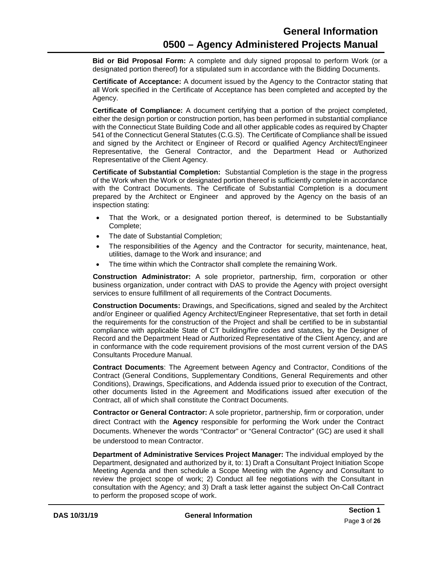**Bid or Bid Proposal Form:** A complete and duly signed proposal to perform Work (or a designated portion thereof) for a stipulated sum in accordance with the Bidding Documents.

**Certificate of Acceptance:** A document issued by the Agency to the Contractor stating that all Work specified in the Certificate of Acceptance has been completed and accepted by the Agency.

**Certificate of Compliance:** A document certifying that a portion of the project completed, either the design portion or construction portion, has been performed in substantial compliance with the Connecticut State Building Code and all other applicable codes as required by Chapter 541 of the Connecticut General Statutes (C.G.S). The Certificate of Compliance shall be issued and signed by the Architect or Engineer of Record or qualified Agency Architect/Engineer Representative, the General Contractor, and the Department Head or Authorized Representative of the Client Agency.

**Certificate of Substantial Completion:** Substantial Completion is the stage in the progress of the Work when the Work or designated portion thereof is sufficiently complete in accordance with the Contract Documents. The Certificate of Substantial Completion is a document prepared by the Architect or Engineer and approved by the Agency on the basis of an inspection stating:

- That the Work, or a designated portion thereof, is determined to be Substantially Complete;
- The date of Substantial Completion;
- The responsibilities of the Agency and the Contractor for security, maintenance, heat, utilities, damage to the Work and insurance; and
- The time within which the Contractor shall complete the remaining Work.

**Construction Administrator:** A sole proprietor, partnership, firm, corporation or other business organization, under contract with DAS to provide the Agency with project oversight services to ensure fulfillment of all requirements of the Contract Documents.

**Construction Documents:** Drawings, and Specifications, signed and sealed by the Architect and/or Engineer or qualified Agency Architect/Engineer Representative, that set forth in detail the requirements for the construction of the Project and shall be certified to be in substantial compliance with applicable State of CT building/fire codes and statutes, by the Designer of Record and the Department Head or Authorized Representative of the Client Agency, and are in conformance with the code requirement provisions of the most current version of the DAS Consultants Procedure Manual.

**Contract Documents**: The Agreement between Agency and Contractor, Conditions of the Contract (General Conditions, Supplementary Conditions, General Requirements and other Conditions), Drawings, Specifications, and Addenda issued prior to execution of the Contract, other documents listed in the Agreement and Modifications issued after execution of the Contract, all of which shall constitute the Contract Documents.

**Contractor or General Contractor:** A sole proprietor, partnership, firm or corporation, under direct Contract with the **Agency** responsible for performing the Work under the Contract Documents. Whenever the words "Contractor" or "General Contractor" (GC) are used it shall be understood to mean Contractor.

**Department of Administrative Services Project Manager:** The individual employed by the Department, designated and authorized by it, to: 1) Draft a Consultant Project Initiation Scope Meeting Agenda and then schedule a Scope Meeting with the Agency and Consultant to review the project scope of work; 2) Conduct all fee negotiations with the Consultant in consultation with the Agency; and 3) Draft a task letter against the subject On-Call Contract to perform the proposed scope of work.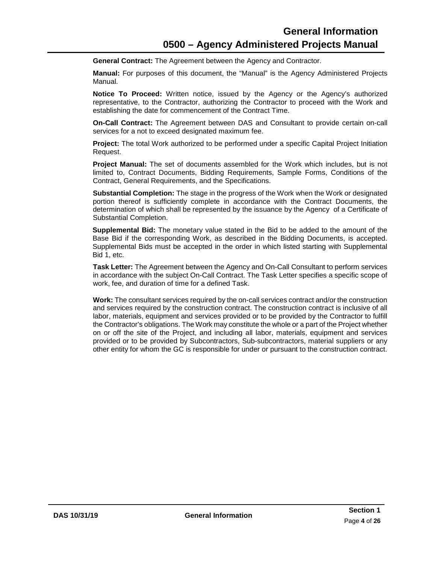**General Contract:** The Agreement between the Agency and Contractor.

**Manual:** For purposes of this document, the "Manual" is the Agency Administered Projects Manual.

**Notice To Proceed:** Written notice, issued by the Agency or the Agency's authorized representative, to the Contractor, authorizing the Contractor to proceed with the Work and establishing the date for commencement of the Contract Time.

**On-Call Contract:** The Agreement between DAS and Consultant to provide certain on-call services for a not to exceed designated maximum fee.

**Project:** The total Work authorized to be performed under a specific Capital Project Initiation Request.

**Project Manual:** The set of documents assembled for the Work which includes, but is not limited to, Contract Documents, Bidding Requirements, Sample Forms, Conditions of the Contract, General Requirements, and the Specifications.

**Substantial Completion:** The stage in the progress of the Work when the Work or designated portion thereof is sufficiently complete in accordance with the Contract Documents, the determination of which shall be represented by the issuance by the Agency of a Certificate of Substantial Completion.

**Supplemental Bid:** The monetary value stated in the Bid to be added to the amount of the Base Bid if the corresponding Work, as described in the Bidding Documents, is accepted. Supplemental Bids must be accepted in the order in which listed starting with Supplemental Bid 1, etc.

**Task Letter:** The Agreement between the Agency and On-Call Consultant to perform services in accordance with the subject On-Call Contract. The Task Letter specifies a specific scope of work, fee, and duration of time for a defined Task.

**Work:** The consultant services required by the on-call services contract and/or the construction and services required by the construction contract. The construction contract is inclusive of all labor, materials, equipment and services provided or to be provided by the Contractor to fulfill the Contractor's obligations. The Work may constitute the whole or a part of the Project whether on or off the site of the Project, and including all labor, materials, equipment and services provided or to be provided by Subcontractors, Sub-subcontractors, material suppliers or any other entity for whom the GC is responsible for under or pursuant to the construction contract.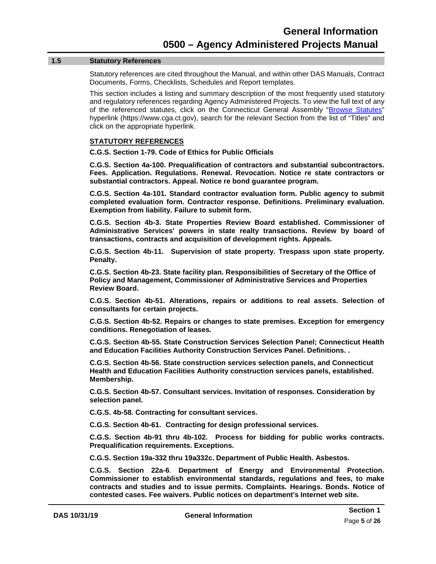#### <span id="page-7-0"></span>**1.5 Statutory References**

Statutory references are cited throughout the Manual, and within other DAS Manuals, Contract Documents, Forms, Checklists, Schedules and Report templates.

This section includes a listing and summary description of the most frequently used statutory and regulatory references regarding Agency Administered Projects. To view the full text of any of the referenced statutes, click on the Connecticut General Assembly ["Browse Statutes"](https://www.cga.ct.gov/current/pub/titles.htm) hyperlink (https://www.cga.ct.gov), search for the relevant Section from the list of "Titles" and click on the appropriate hyperlink.

#### **STATUTORY REFERENCES**

**C.G.S. Section 1-79. Code of Ethics for Public Officials**

**C.G.S. Section 4a-100. Prequalification of contractors and substantial subcontractors. Fees. Application. Regulations. Renewal. Revocation. Notice re state contractors or substantial contractors. Appeal. Notice re bond guarantee program.**

**C.G.S. Section 4a-101. Standard contractor evaluation form. Public agency to submit completed evaluation form. Contractor response. Definitions. Preliminary evaluation. Exemption from liability. Failure to submit form.**

**C.G.S. Section 4b-3. State Properties Review Board established. Commissioner of Administrative Services' powers in state realty transactions. Review by board of transactions, contracts and acquisition of development rights. Appeals.**

**C.G.S. Section 4b-11. Supervision of state property. Trespass upon state property. Penalty.**

**C.G.S. Section 4b-23. State facility plan. Responsibilities of Secretary of the Office of Policy and Management, Commissioner of Administrative Services and Properties Review Board.**

**C.G.S. Section 4b-51. Alterations, repairs or additions to real assets. Selection of consultants for certain projects.**

**C.G.S. Section 4b-52. Repairs or changes to state premises. Exception for emergency conditions. Renegotiation of leases.**

**C.G.S. Section 4b-55. State Construction Services Selection Panel; Connecticut Health and Education Facilities Authority Construction Services Panel. Definitions. .** 

**C.G.S. Section 4b-56. State construction services selection panels, and Connecticut Health and Education Facilities Authority construction services panels, established. Membership.**

**C.G.S. Section 4b-57. Consultant services. Invitation of responses. Consideration by selection panel.**

**C.G.S. 4b-58. Contracting for consultant services.**

**C.G.S. Section 4b-61. Contracting for design professional services.**

**C.G.S. Section 4b-91 thru 4b-102. Process for bidding for public works contracts. Prequalification requirements. Exceptions.**

**C.G.S. Section 19a-332 thru 19a332c. Department of Public Health. Asbestos.** 

**C.G.S. Section 22a-6**. **Department of Energy and Environmental Protection. Commissioner to establish environmental standards, regulations and fees, to make contracts and studies and to issue permits. Complaints. Hearings. Bonds. Notice of contested cases. Fee waivers. Public notices on department's Internet web site.**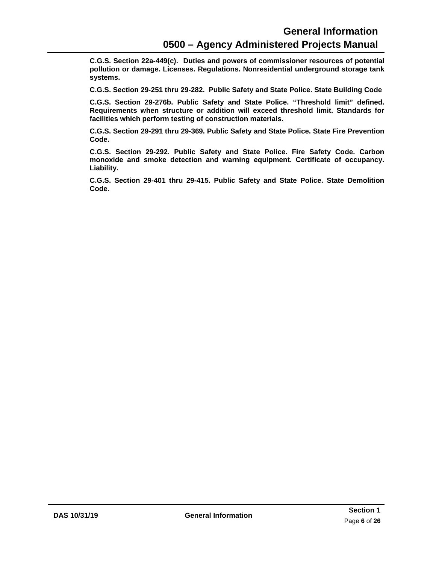**C.G.S. Section 22a-449(c). Duties and powers of commissioner resources of potential pollution or damage. Licenses. Regulations. Nonresidential underground storage tank systems.**

**C.G.S. Section 29-251 thru 29-282. Public Safety and State Police. State Building Code**

**C.G.S. Section 29-276b. Public Safety and State Police. "Threshold limit" defined. Requirements when structure or addition will exceed threshold limit. Standards for facilities which perform testing of construction materials.**

**C.G.S. Section 29-291 thru 29-369. Public Safety and State Police. State Fire Prevention Code.**

**C.G.S. Section 29-292. Public Safety and State Police. Fire Safety Code. Carbon monoxide and smoke detection and warning equipment. Certificate of occupancy. Liability.**

**C.G.S. Section 29-401 thru 29-415. Public Safety and State Police. State Demolition Code.**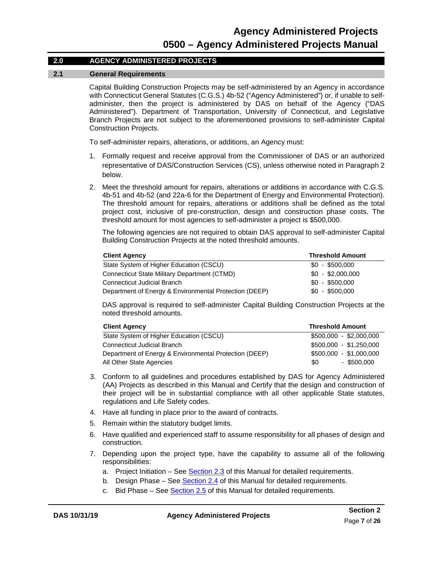#### **2.0 AGENCY ADMINISTERED PROJECTS**

#### <span id="page-9-0"></span>**2.1 General Requirements**

Capital Building Construction Projects may be self-administered by an Agency in accordance with Connecticut General Statutes (C.G.S.) 4b-52 ("Agency Administered") or, if unable to selfadminister, then the project is administered by DAS on behalf of the Agency ("DAS Administered"). Department of Transportation, University of Connecticut, and Legislative Branch Projects are not subject to the aforementioned provisions to self-administer Capital Construction Projects.

To self-administer repairs, alterations, or additions, an Agency must:

- 1. Formally request and receive approval from the Commissioner of DAS or an authorized representative of DAS/Construction Services (CS), unless otherwise noted in Paragraph 2 below.
- 2. Meet the threshold amount for repairs, alterations or additions in accordance with C.G.S. 4b-51 and 4b-52 (and 22a-6 for the Department of Energy and Environmental Protection). The threshold amount for repairs, alterations or additions shall be defined as the total project cost, inclusive of pre-construction, design and construction phase costs. The threshold amount for most agencies to self-administer a project is \$500,000.

The following agencies are not required to obtain DAS approval to self-administer Capital Building Construction Projects at the noted threshold amounts.

| <b>Client Agency</b>                                   | <b>Threshold Amount</b> |
|--------------------------------------------------------|-------------------------|
| State System of Higher Education (CSCU)                | $$0 - $500.000$         |
| Connecticut State Military Department (CTMD)           | $$0 - $2,000,000$       |
| Connecticut Judicial Branch                            | $$0 - $500.000$         |
| Department of Energy & Environmental Protection (DEEP) | $$0 - $500,000$         |

DAS approval is required to self-administer Capital Building Construction Projects at the noted threshold amounts.

| <b>Client Agency</b>                                   | <b>Threshold Amount</b> |
|--------------------------------------------------------|-------------------------|
| State System of Higher Education (CSCU)                | $$500,000 - $2,000,000$ |
| <b>Connecticut Judicial Branch</b>                     | \$500,000 - \$1,250,000 |
| Department of Energy & Environmental Protection (DEEP) | \$500.000 - \$1.000.000 |
| All Other State Agencies                               | $-$ \$500,000<br>\$0    |

- 3. Conform to all guidelines and procedures established by DAS for Agency Administered (AA) Projects as described in this Manual and Certify that the design and construction of their project will be in substantial compliance with all other applicable State statutes, regulations and Life Safety codes.
- 4. Have all funding in place prior to the award of contracts.
- 5. Remain within the statutory budget limits.
- 6. Have qualified and experienced staff to assume responsibility for all phases of design and construction.
- 7. Depending upon the project type, have the capability to assume all of the following responsibilities:
	- a. Project Initiation See [Section 2.3](#page-16-0) of this Manual for detailed requirements.
	- b. Design Phase See [Section 2.4](#page-17-0) of this Manual for detailed requirements.
	- c. Bid Phase See [Section 2.5](#page-19-0) of this Manual for detailed requirements.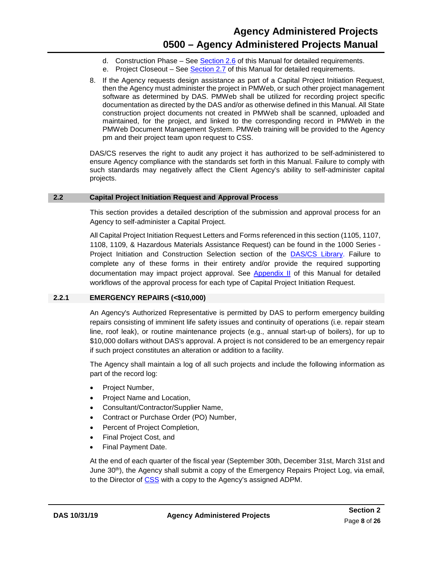- d. Construction Phase See [Section 2.6](#page-20-1) of this Manual for detailed requirements.
- e. Project Closeout See [Section 2.7](#page-24-0) of this Manual for detailed requirements.
- 8. If the Agency requests design assistance as part of a Capital Project Initiation Request, then the Agency must administer the project in PMWeb, or such other project management software as determined by DAS. PMWeb shall be utilized for recording project specific documentation as directed by the DAS and/or as otherwise defined in this Manual. All State construction project documents not created in PMWeb shall be scanned, uploaded and maintained, for the project, and linked to the corresponding record in PMWeb in the PMWeb Document Management System. PMWeb training will be provided to the Agency pm and their project team upon request to CSS.

DAS/CS reserves the right to audit any project it has authorized to be self-administered to ensure Agency compliance with the standards set forth in this Manual. Failure to comply with such standards may negatively affect the Client Agency's ability to self-administer capital projects.

#### **2.2 Capital Project Initiation Request and Approval Process**

<span id="page-10-0"></span>This section provides a detailed description of the submission and approval process for an Agency to self-administer a Capital Project.

All Capital Project Initiation Request Letters and Forms referenced in this section (1105, 1107, 1108, 1109, & Hazardous Materials Assistance Request) can be found in the 1000 Series - Project Initiation and Construction Selection section of the **DAS/CS Library**. Failure to complete any of these forms in their entirety and/or provide the required supporting documentation may impact project approval. See [Appendix II](#page-31-0) of this Manual for detailed workflows of the approval process for each type of Capital Project Initiation Request.

#### <span id="page-10-1"></span>**2.2.1 EMERGENCY REPAIRS (<\$10,000)**

An Agency's Authorized Representative is permitted by DAS to perform emergency building repairs consisting of imminent life safety issues and continuity of operations (i.e. repair steam line, roof leak), or routine maintenance projects (e.g., annual start-up of boilers), for up to \$10,000 dollars without DAS's approval. A project is not considered to be an emergency repair if such project constitutes an alteration or addition to a facility.

The Agency shall maintain a log of all such projects and include the following information as part of the record log:

- Project Number,
- Project Name and Location,
- Consultant/Contractor/Supplier Name,
- Contract or Purchase Order (PO) Number,
- Percent of Project Completion,
- Final Project Cost, and
- Final Payment Date.

<span id="page-10-2"></span>At the end of each quarter of the fiscal year (September 30th, December 31st, March 31st and June 30<sup>th</sup>), the Agency shall submit a copy of the Emergency Repairs Project Log, via email, to the Director of [CSS](mailto:craig.russell@ct.gov) with a copy to the Agency's assigned ADPM.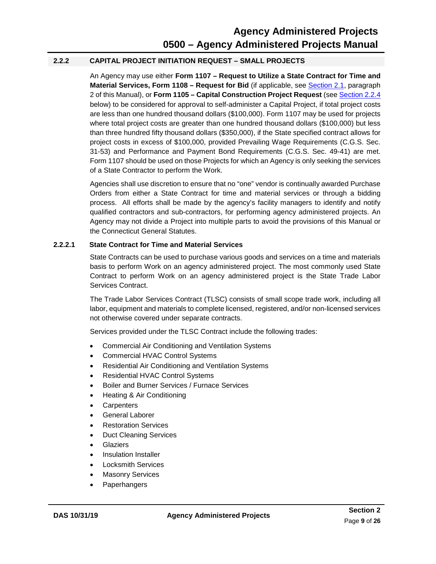#### **2.2.2 CAPITAL PROJECT INITIATION REQUEST – SMALL PROJECTS**

An Agency may use either **Form 1107 – Request to Utilize a State Contract for Time and Material Services, Form 1108 - Request for Bid** (if applicable, see **Section 2.1**, paragraph 2 of this Manual), or **Form 1105 – Capital Construction Project Request** (se[e Section 2.2.4](#page-15-0) below) to be considered for approval to self-administer a Capital Project, if total project costs are less than one hundred thousand dollars (\$100,000). Form 1107 may be used for projects where total project costs are greater than one hundred thousand dollars (\$100,000) but less than three hundred fifty thousand dollars (\$350,000), if the State specified contract allows for project costs in excess of \$100,000, provided Prevailing Wage Requirements (C.G.S. Sec. 31-53) and Performance and Payment Bond Requirements (C.G.S. Sec. 49-41) are met. Form 1107 should be used on those Projects for which an Agency is only seeking the services of a State Contractor to perform the Work.

Agencies shall use discretion to ensure that no "one" vendor is continually awarded Purchase Orders from either a State Contract for time and material services or through a bidding process. All efforts shall be made by the agency's facility managers to identify and notify qualified contractors and sub-contractors, for performing agency administered projects. An Agency may not divide a Project into multiple parts to avoid the provisions of this Manual or the Connecticut General Statutes.

#### <span id="page-11-0"></span>**2.2.2.1 State Contract for Time and Material Services**

State Contracts can be used to purchase various goods and services on a time and materials basis to perform Work on an agency administered project. The most commonly used State Contract to perform Work on an agency administered project is the State Trade Labor Services Contract.

The Trade Labor Services Contract (TLSC) consists of small scope trade work, including all labor, equipment and materials to complete licensed, registered, and/or non-licensed services not otherwise covered under separate contracts.

Services provided under the TLSC Contract include the following trades:

- Commercial Air Conditioning and Ventilation Systems
- Commercial HVAC Control Systems
- Residential Air Conditioning and Ventilation Systems
- Residential HVAC Control Systems
- Boiler and Burner Services / Furnace Services
- Heating & Air Conditioning
- **Carpenters**
- General Laborer
- Restoration Services
- **Duct Cleaning Services**
- Glaziers
- Insulation Installer
- Locksmith Services
- **Masonry Services**
- Paperhangers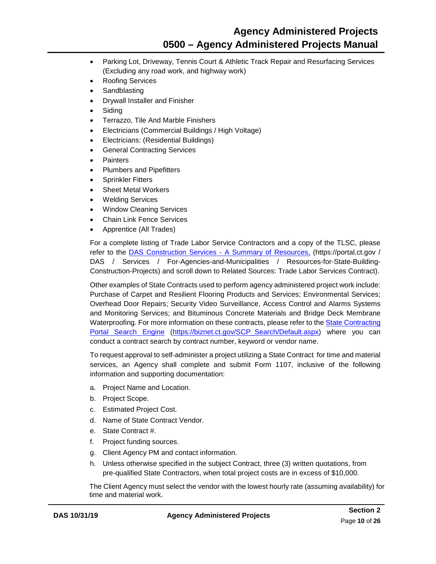### **Agency Administered Projects 0500 – Agency Administered Projects Manual**

- Parking Lot, Driveway, Tennis Court & Athletic Track Repair and Resurfacing Services (Excluding any road work, and highway work)
- Roofing Services
- **Sandblasting**
- Drywall Installer and Finisher
- **Siding**
- Terrazzo, Tile And Marble Finishers
- Electricians (Commercial Buildings / High Voltage)
- Electricians: (Residential Buildings)
- **General Contracting Services**
- **Painters**
- Plumbers and Pipefitters
- **Sprinkler Fitters**
- Sheet Metal Workers
- Welding Services
- Window Cleaning Services
- Chain Link Fence Services
- Apprentice (All Trades)

For a complete listing of Trade Labor Service Contractors and a copy of the TLSC, please refer to the [DAS Construction Services -](https://portal.ct.gov/DAS/Construction-Services/DAS-Construction-Services---A-Summary-of-Resources) A Summary of Resources, (https://portal.ct.gov / DAS / Services / For-Agencies-and-Municipalities / Resources-for-State-Building-Construction-Projects) and scroll down to Related Sources: Trade Labor Services Contract).

Other examples of State Contracts used to perform agency administered project work include: Purchase of Carpet and Resilient Flooring Products and Services; Environmental Services; Overhead Door Repairs; Security Video Surveillance, Access Control and Alarms Systems and Monitoring Services; and Bituminous Concrete Materials and Bridge Deck Membrane Waterproofing. For more information on these contracts, please refer to th[e State Contracting](https://biznet.ct.gov/SCP_Search/Default.aspx)  [Portal Search Engine](https://biznet.ct.gov/SCP_Search/Default.aspx) [\(https://biznet.ct.gov/SCP\\_Search/Default.aspx\)](https://biznet.ct.gov/SCP_Search/Default.aspx) where you can conduct a contract search by contract number, keyword or vendor name.

To request approval to self-administer a project utilizing a State Contract for time and material services, an Agency shall complete and submit Form 1107, inclusive of the following information and supporting documentation:

- a. Project Name and Location.
- b. Project Scope.
- c. Estimated Project Cost.
- d. Name of State Contract Vendor.
- e. State Contract #.
- f. Project funding sources.
- g. Client Agency PM and contact information.
- h. Unless otherwise specified in the subject Contract, three (3) written quotations, from pre-qualified State Contractors, when total project costs are in excess of \$10,000.

The Client Agency must select the vendor with the lowest hourly rate (assuming availability) for time and material work.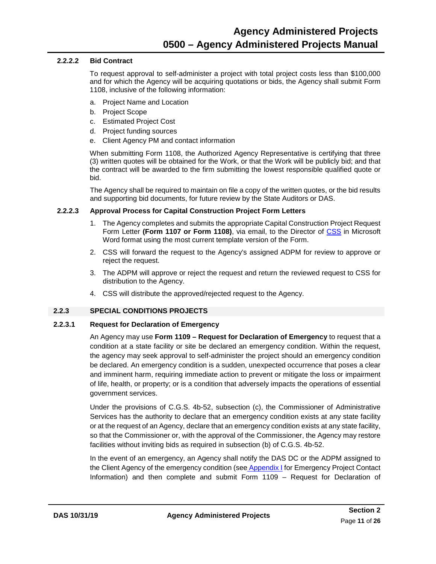#### <span id="page-13-0"></span>**2.2.2.2 Bid Contract**

To request approval to self-administer a project with total project costs less than \$100,000 and for which the Agency will be acquiring quotations or bids, the Agency shall submit Form 1108, inclusive of the following information:

- a. Project Name and Location
- b. Project Scope
- c. Estimated Project Cost
- d. Project funding sources
- e. Client Agency PM and contact information

When submitting Form 1108, the Authorized Agency Representative is certifying that three (3) written quotes will be obtained for the Work, or that the Work will be publicly bid; and that the contract will be awarded to the firm submitting the lowest responsible qualified quote or bid.

The Agency shall be required to maintain on file a copy of the written quotes, or the bid results and supporting bid documents, for future review by the State Auditors or DAS.

#### <span id="page-13-1"></span>**2.2.2.3 Approval Process for Capital Construction Project Form Letters**

- 1. The Agency completes and submits the appropriate Capital Construction Project Request Form Letter **(Form 1107 or Form 1108)**, via email, to the Director of [CSS](mailto:craig.russell@ct.gov) in Microsoft Word format using the most current template version of the Form.
- 2. CSS will forward the request to the Agency's assigned ADPM for review to approve or reject the request.
- 3. The ADPM will approve or reject the request and return the reviewed request to CSS for distribution to the Agency.
- 4. CSS will distribute the approved/rejected request to the Agency.

#### <span id="page-13-2"></span>**2.2.3 SPECIAL CONDITIONS PROJECTS**

#### **2.2.3.1 Request for Declaration of Emergency**

An Agency may use **Form 1109 – Request for Declaration of Emergency** to request that a condition at a state facility or site be declared an emergency condition. Within the request, the agency may seek approval to self-administer the project should an emergency condition be declared. An emergency condition is a sudden, unexpected occurrence that poses a clear and imminent harm, requiring immediate action to prevent or mitigate the loss or impairment of life, health, or property; or is a condition that adversely impacts the operations of essential government services.

Under the provisions of C.G.S. 4b-52, subsection (c), the Commissioner of Administrative Services has the authority to declare that an emergency condition exists at any state facility or at the request of an Agency, declare that an emergency condition exists at any state facility, so that the Commissioner or, with the approval of the Commissioner, the Agency may restore facilities without inviting bids as required in subsection (b) of C.G.S. 4b-52.

In the event of an emergency, an Agency shall notify the DAS DC or the ADPM assigned to the Client Agency of the emergency condition (see [Appendix I](#page-29-0) for Emergency Project Contact Information) and then complete and submit Form 1109 – Request for Declaration of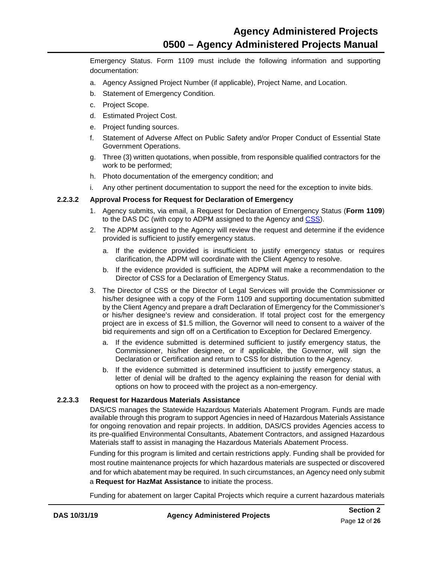Emergency Status. Form 1109 must include the following information and supporting documentation:

- a. Agency Assigned Project Number (if applicable), Project Name, and Location.
- b. Statement of Emergency Condition.
- c. Project Scope.
- d. Estimated Project Cost.
- e. Project funding sources.
- f. Statement of Adverse Affect on Public Safety and/or Proper Conduct of Essential State Government Operations.
- g. Three (3) written quotations, when possible, from responsible qualified contractors for the work to be performed;
- h. Photo documentation of the emergency condition; and
- i. Any other pertinent documentation to support the need for the exception to invite bids.

#### **2.2.3.2 Approval Process for Request for Declaration of Emergency**

- <span id="page-14-0"></span>1. Agency submits, via email, a Request for Declaration of Emergency Status (**Form 1109**) to the DAS DC (with copy to ADPM assigned to the Agency and [CSS\)](mailto:craig.russell@ct.gov).
- 2. The ADPM assigned to the Agency will review the request and determine if the evidence provided is sufficient to justify emergency status.
	- a. If the evidence provided is insufficient to justify emergency status or requires clarification, the ADPM will coordinate with the Client Agency to resolve.
	- b. If the evidence provided is sufficient, the ADPM will make a recommendation to the Director of CSS for a Declaration of Emergency Status.
- 3. The Director of CSS or the Director of Legal Services will provide the Commissioner or his/her designee with a copy of the Form 1109 and supporting documentation submitted by the Client Agency and prepare a draft Declaration of Emergency for the Commissioner's or his/her designee's review and consideration. If total project cost for the emergency project are in excess of \$1.5 million, the Governor will need to consent to a waiver of the bid requirements and sign off on a Certification to Exception for Declared Emergency.
	- a. If the evidence submitted is determined sufficient to justify emergency status, the Commissioner, his/her designee, or if applicable, the Governor, will sign the Declaration or Certification and return to CSS for distribution to the Agency.
	- b. If the evidence submitted is determined insufficient to justify emergency status, a letter of denial will be drafted to the agency explaining the reason for denial with options on how to proceed with the project as a non-emergency.

#### **2.2.3.3 Request for Hazardous Materials Assistance**

<span id="page-14-1"></span>DAS/CS manages the Statewide Hazardous Materials Abatement Program. Funds are made available through this program to support Agencies in need of Hazardous Materials Assistance for ongoing renovation and repair projects. In addition, DAS/CS provides Agencies access to its pre-qualified Environmental Consultants, Abatement Contractors, and assigned Hazardous Materials staff to assist in managing the Hazardous Materials Abatement Process.

Funding for this program is limited and certain restrictions apply. Funding shall be provided for most routine maintenance projects for which hazardous materials are suspected or discovered and for which abatement may be required. In such circumstances, an Agency need only submit a **Request for HazMat Assistance** to initiate the process.

Funding for abatement on larger Capital Projects which require a current hazardous materials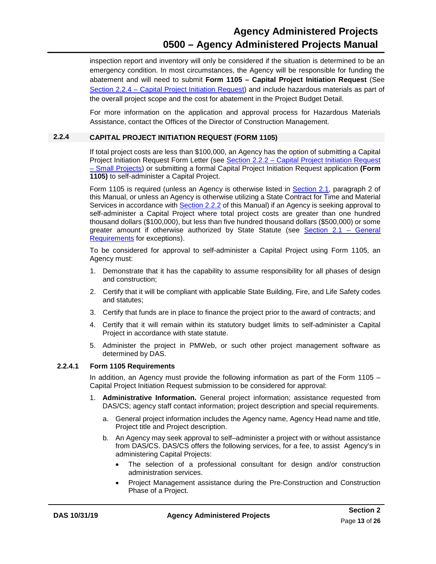### **Agency Administered Projects 0500 – Agency Administered Projects Manual**

inspection report and inventory will only be considered if the situation is determined to be an emergency condition. In most circumstances, the Agency will be responsible for funding the abatement and will need to submit **Form 1105 – Capital Project Initiation Request** (See Section 2.2.4 – Capital Project [Initiation Request\)](#page-15-0) and include hazardous materials as part of the overall project scope and the cost for abatement in the Project Budget Detail.

For more information on the application and approval process for Hazardous Materials Assistance, contact the Offices of the Director of Construction Management.

#### <span id="page-15-0"></span>**2.2.4 CAPITAL PROJECT INITIATION REQUEST (FORM 1105)**

If total project costs are less than \$100,000, an Agency has the option of submitting a Capital Project Initiation Request Form Letter (see Section 2.2.2 – [Capital Project Initiation](#page-10-2) Request – [Small Projects\)](#page-10-2) or submitting a formal Capital Project Initiation Request application **(Form 1105)** to self-administer a Capital Project.

Form 1105 is required (unless an Agency is otherwise listed in [Section 2.1,](#page-9-0) paragraph 2 of this Manual, or unless an Agency is otherwise utilizing a State Contract for Time and Material Services in accordance with [Section 2.2.2](#page-10-2) of this Manual) if an Agency is seeking approval to self-administer a Capital Project where total project costs are greater than one hundred thousand dollars (\$100,000), but less than five hundred thousand dollars (\$500,000) or some greater amount if otherwise authorized by State Statute (see [Section 2.1](#page-9-0) - General [Requirements](#page-9-0) for exceptions).

To be considered for approval to self-administer a Capital Project using Form 1105, an Agency must:

- 1. Demonstrate that it has the capability to assume responsibility for all phases of design and construction;
- 2. Certify that it will be compliant with applicable State Building, Fire, and Life Safety codes and statutes;
- 3. Certify that funds are in place to finance the project prior to the award of contracts; and
- 4. Certify that it will remain within its statutory budget limits to self-administer a Capital Project in accordance with state statute.
- 5. Administer the project in PMWeb, or such other project management software as determined by DAS.

#### **2.2.4.1 Form 1105 Requirements**

<span id="page-15-1"></span>In addition, an Agency must provide the following information as part of the Form 1105 – Capital Project Initiation Request submission to be considered for approval:

- 1. **Administrative Information.** General project information; assistance requested from DAS/CS; agency staff contact information; project description and special requirements.
	- a. General project information includes the Agency name, Agency Head name and title, Project title and Project description.
	- b. An Agency may seek approval to self–administer a project with or without assistance from DAS/CS. DAS/CS offers the following services, for a fee, to assist Agency's in administering Capital Projects:
		- The selection of a professional consultant for design and/or construction administration services.
		- Project Management assistance during the Pre-Construction and Construction Phase of a Project.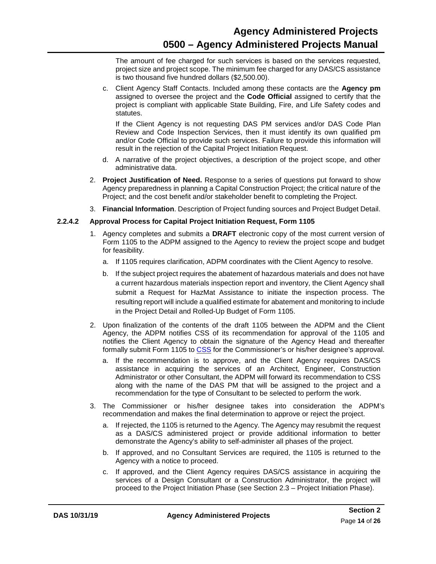The amount of fee charged for such services is based on the services requested, project size and project scope. The minimum fee charged for any DAS/CS assistance is two thousand five hundred dollars (\$2,500.00).

c. Client Agency Staff Contacts. Included among these contacts are the **Agency pm**  assigned to oversee the project and the **Code Official** assigned to certify that the project is compliant with applicable State Building, Fire, and Life Safety codes and statutes.

If the Client Agency is not requesting DAS PM services and/or DAS Code Plan Review and Code Inspection Services, then it must identify its own qualified pm and/or Code Official to provide such services. Failure to provide this information will result in the rejection of the Capital Project Initiation Request.

- d. A narrative of the project objectives, a description of the project scope, and other administrative data.
- 2. **Project Justification of Need.** Response to a series of questions put forward to show Agency preparedness in planning a Capital Construction Project; the critical nature of the Project; and the cost benefit and/or stakeholder benefit to completing the Project.
- 3. **Financial Information**. Description of Project funding sources and Project Budget Detail.

#### **2.2.4.2 Approval Process for Capital Project Initiation Request, Form 1105**

- 1. Agency completes and submits a **DRAFT** electronic copy of the most current version of Form 1105 to the ADPM assigned to the Agency to review the project scope and budget for feasibility.
	- a. If 1105 requires clarification, ADPM coordinates with the Client Agency to resolve.
	- b. If the subject project requires the abatement of hazardous materials and does not have a current hazardous materials inspection report and inventory, the Client Agency shall submit a Request for HazMat Assistance to initiate the inspection process. The resulting report will include a qualified estimate for abatement and monitoring to include in the Project Detail and Rolled-Up Budget of Form 1105.
- 2. Upon finalization of the contents of the draft 1105 between the ADPM and the Client Agency, the ADPM notifies CSS of its recommendation for approval of the 1105 and notifies the Client Agency to obtain the signature of the Agency Head and thereafter formally submit Form 1105 to [CSS](mailto:craig.russell@ct.gov) for the Commissioner's or his/her designee's approval.
	- a. If the recommendation is to approve, and the Client Agency requires DAS/CS assistance in acquiring the services of an Architect, Engineer, Construction Administrator or other Consultant, the ADPM will forward its recommendation to CSS along with the name of the DAS PM that will be assigned to the project and a recommendation for the type of Consultant to be selected to perform the work.
- <span id="page-16-0"></span>3. The Commissioner or his/her designee takes into consideration the ADPM's recommendation and makes the final determination to approve or reject the project.
	- a. If rejected, the 1105 is returned to the Agency. The Agency may resubmit the request as a DAS/CS administered project or provide additional information to better demonstrate the Agency's ability to self-administer all phases of the project.
	- b. If approved, and no Consultant Services are required, the 1105 is returned to the Agency with a notice to proceed.
	- c. If approved, and the Client Agency requires DAS/CS assistance in acquiring the services of a Design Consultant or a Construction Administrator, the project will proceed to the Project Initiation Phase (see Section 2.3 – Project Initiation Phase).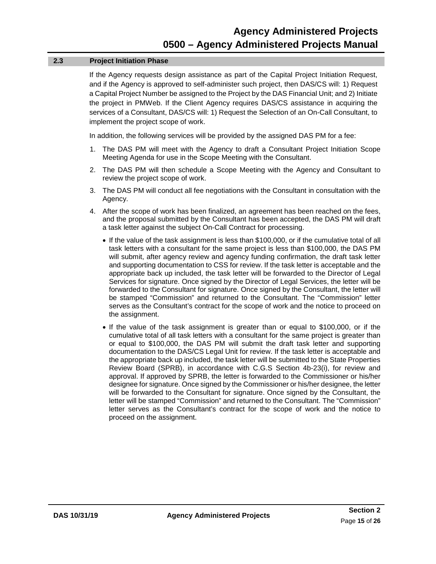#### **2.3 Project Initiation Phase**

If the Agency requests design assistance as part of the Capital Project Initiation Request, and if the Agency is approved to self-administer such project, then DAS/CS will: 1) Request a Capital Project Number be assigned to the Project by the DAS Financial Unit; and 2) Initiate the project in PMWeb. If the Client Agency requires DAS/CS assistance in acquiring the services of a Consultant, DAS/CS will: 1) Request the Selection of an On-Call Consultant, to implement the project scope of work.

In addition, the following services will be provided by the assigned DAS PM for a fee:

- 1. The DAS PM will meet with the Agency to draft a Consultant Project Initiation Scope Meeting Agenda for use in the Scope Meeting with the Consultant.
- 2. The DAS PM will then schedule a Scope Meeting with the Agency and Consultant to review the project scope of work.
- 3. The DAS PM will conduct all fee negotiations with the Consultant in consultation with the Agency.
- <span id="page-17-0"></span>4. After the scope of work has been finalized, an agreement has been reached on the fees, and the proposal submitted by the Consultant has been accepted, the DAS PM will draft a task letter against the subject On-Call Contract for processing.
	- If the value of the task assignment is less than \$100,000, or if the cumulative total of all task letters with a consultant for the same project is less than \$100,000, the DAS PM will submit, after agency review and agency funding confirmation, the draft task letter and supporting documentation to CSS for review. If the task letter is acceptable and the appropriate back up included, the task letter will be forwarded to the Director of Legal Services for signature. Once signed by the Director of Legal Services, the letter will be forwarded to the Consultant for signature. Once signed by the Consultant, the letter will be stamped "Commission" and returned to the Consultant. The "Commission" letter serves as the Consultant's contract for the scope of work and the notice to proceed on the assignment.
	- If the value of the task assignment is greater than or equal to \$100,000, or if the cumulative total of all task letters with a consultant for the same project is greater than or equal to \$100,000, the DAS PM will submit the draft task letter and supporting documentation to the DAS/CS Legal Unit for review. If the task letter is acceptable and the appropriate back up included, the task letter will be submitted to the State Properties Review Board (SPRB), in accordance with C.G.S Section 4b-23(i), for review and approval. If approved by SPRB, the letter is forwarded to the Commissioner or his/her designee for signature. Once signed by the Commissioner or his/her designee, the letter will be forwarded to the Consultant for signature. Once signed by the Consultant, the letter will be stamped "Commission" and returned to the Consultant. The "Commission" letter serves as the Consultant's contract for the scope of work and the notice to proceed on the assignment.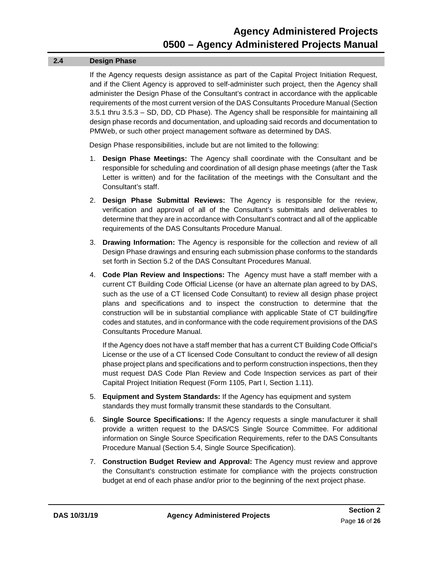#### **2.4 Design Phase**

If the Agency requests design assistance as part of the Capital Project Initiation Request, and if the Client Agency is approved to self-administer such project, then the Agency shall administer the Design Phase of the Consultant's contract in accordance with the applicable requirements of the most current version of the DAS Consultants Procedure Manual (Section 3.5.1 thru 3.5.3 – SD, DD, CD Phase). The Agency shall be responsible for maintaining all design phase records and documentation, and uploading said records and documentation to PMWeb, or such other project management software as determined by DAS.

Design Phase responsibilities, include but are not limited to the following:

- 1. **Design Phase Meetings:** The Agency shall coordinate with the Consultant and be responsible for scheduling and coordination of all design phase meetings (after the Task Letter is written) and for the facilitation of the meetings with the Consultant and the Consultant's staff.
- 2. **Design Phase Submittal Reviews:** The Agency is responsible for the review, verification and approval of all of the Consultant's submittals and deliverables to determine that they are in accordance with Consultant's contract and all of the applicable requirements of the DAS Consultants Procedure Manual.
- 3. **Drawing Information:** The Agency is responsible for the collection and review of all Design Phase drawings and ensuring each submission phase conforms to the standards set forth in Section 5.2 of the DAS Consultant Procedures Manual.
- 4. **Code Plan Review and Inspections:** The Agency must have a staff member with a current CT Building Code Official License (or have an alternate plan agreed to by DAS, such as the use of a CT licensed Code Consultant) to review all design phase project plans and specifications and to inspect the construction to determine that the construction will be in substantial compliance with applicable State of CT building/fire codes and statutes, and in conformance with the code requirement provisions of the DAS Consultants Procedure Manual.

If the Agency does not have a staff member that has a current CT Building Code Official's License or the use of a CT licensed Code Consultant to conduct the review of all design phase project plans and specifications and to perform construction inspections, then they must request DAS Code Plan Review and Code Inspection services as part of their Capital Project Initiation Request (Form 1105, Part I, Section 1.11).

- 5. **Equipment and System Standards:** If the Agency has equipment and system standards they must formally transmit these standards to the Consultant.
- 6. **Single Source Specifications:** If the Agency requests a single manufacturer it shall provide a written request to the DAS/CS Single Source Committee. For additional information on Single Source Specification Requirements, refer to the DAS Consultants Procedure Manual (Section 5.4, Single Source Specification).
- 7. **Construction Budget Review and Approval:** The Agency must review and approve the Consultant's construction estimate for compliance with the projects construction budget at end of each phase and/or prior to the beginning of the next project phase.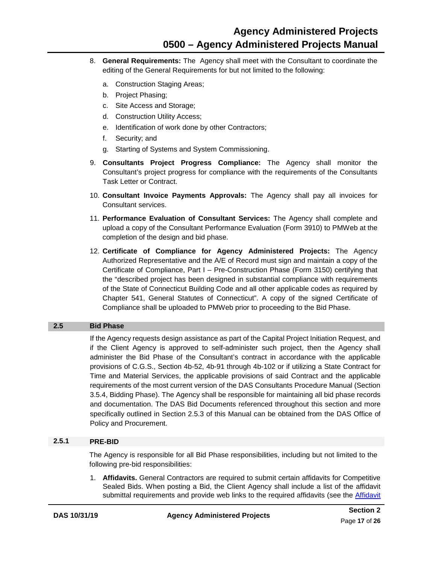- 8. **General Requirements:** The Agency shall meet with the Consultant to coordinate the editing of the General Requirements for but not limited to the following:
	- a. Construction Staging Areas;
	- b. Project Phasing;
	- c. Site Access and Storage;
	- d. Construction Utility Access;
	- e. Identification of work done by other Contractors;
	- f. Security; and
	- g. Starting of Systems and System Commissioning.
- 9. **Consultants Project Progress Compliance:** The Agency shall monitor the Consultant's project progress for compliance with the requirements of the Consultants Task Letter or Contract.
- 10. **Consultant Invoice Payments Approvals:** The Agency shall pay all invoices for Consultant services.
- 11. **Performance Evaluation of Consultant Services:** The Agency shall complete and upload a copy of the Consultant Performance Evaluation (Form 3910) to PMWeb at the completion of the design and bid phase.
- 12. **Certificate of Compliance for Agency Administered Projects:** The Agency Authorized Representative and the A/E of Record must sign and maintain a copy of the Certificate of Compliance, Part I – Pre-Construction Phase (Form 3150) certifying that the "described project has been designed in substantial compliance with requirements of the State of Connecticut Building Code and all other applicable codes as required by Chapter 541, General Statutes of Connecticut". A copy of the signed Certificate of Compliance shall be uploaded to PMWeb prior to proceeding to the Bid Phase.

#### <span id="page-19-0"></span>**2.5 Bid Phase**

If the Agency requests design assistance as part of the Capital Project Initiation Request, and if the Client Agency is approved to self-administer such project, then the Agency shall administer the Bid Phase of the Consultant's contract in accordance with the applicable provisions of C.G.S., Section 4b-52, 4b-91 through 4b-102 or if utilizing a State Contract for Time and Material Services, the applicable provisions of said Contract and the applicable requirements of the most current version of the DAS Consultants Procedure Manual (Section 3.5.4, Bidding Phase). The Agency shall be responsible for maintaining all bid phase records and documentation. The DAS Bid Documents referenced throughout this section and more specifically outlined in Section 2.5.3 of this Manual can be obtained from the DAS Office of Policy and Procurement.

#### **2.5.1 PRE-BID**

The Agency is responsible for all Bid Phase responsibilities, including but not limited to the following pre-bid responsibilities:

1. **Affidavits.** General Contractors are required to submit certain affidavits for Competitive Sealed Bids. When posting a Bid, the Client Agency shall include a list of the affidavit submittal requirements and provide web links to the required affidavits (see the **Affidavit**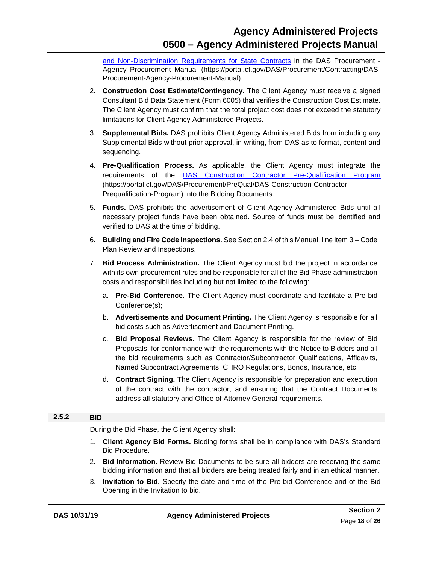[and Non-Discrimination Requirements for State Contracts](https://portal.ct.gov/DAS/Procurement/Contracting/DAS-Procurement-Agency-Procurement-Manual/Affidavit-and-Non-Discrimination-Requirements-for-State-Contracts) in the DAS Procurement - Agency Procurement Manual (https://portal.ct.gov/DAS/Procurement/Contracting/DAS-Procurement-Agency-Procurement-Manual).

- 2. **Construction Cost Estimate/Contingency.** The Client Agency must receive a signed Consultant Bid Data Statement (Form 6005) that verifies the Construction Cost Estimate. The Client Agency must confirm that the total project cost does not exceed the statutory limitations for Client Agency Administered Projects.
- 3. **Supplemental Bids.** DAS prohibits Client Agency Administered Bids from including any Supplemental Bids without prior approval, in writing, from DAS as to format, content and sequencing.
- 4. **Pre-Qualification Process.** As applicable, the Client Agency must integrate the requirements of the [DAS Construction Contractor Pre-Qualification Program](https://portal.ct.gov/DAS/Procurement/PreQual/DAS-Construction-Contractor-Prequalification-Program/Documents) (https://portal.ct.gov/DAS/Procurement/PreQual/DAS-Construction-Contractor-Prequalification-Program) into the Bidding Documents.
- 5. **Funds.** DAS prohibits the advertisement of Client Agency Administered Bids until all necessary project funds have been obtained. Source of funds must be identified and verified to DAS at the time of bidding.
- 6. **Building and Fire Code Inspections.** See Section 2.4 of this Manual, line item 3 Code Plan Review and Inspections.
- 7. **Bid Process Administration.** The Client Agency must bid the project in accordance with its own procurement rules and be responsible for all of the Bid Phase administration costs and responsibilities including but not limited to the following:
	- a. **Pre-Bid Conference.** The Client Agency must coordinate and facilitate a Pre-bid Conference(s);
	- b. **Advertisements and Document Printing.** The Client Agency is responsible for all bid costs such as Advertisement and Document Printing.
	- c. **Bid Proposal Reviews.** The Client Agency is responsible for the review of Bid Proposals, for conformance with the requirements with the Notice to Bidders and all the bid requirements such as Contractor/Subcontractor Qualifications, Affidavits, Named Subcontract Agreements, CHRO Regulations, Bonds, Insurance, etc.
	- d. **Contract Signing.** The Client Agency is responsible for preparation and execution of the contract with the contractor, and ensuring that the Contract Documents address all statutory and Office of Attorney General requirements.

#### <span id="page-20-1"></span>**2.5.2 BID**

<span id="page-20-0"></span>During the Bid Phase, the Client Agency shall:

- 1. **Client Agency Bid Forms.** Bidding forms shall be in compliance with DAS's Standard Bid Procedure.
- 2. **Bid Information.** Review Bid Documents to be sure all bidders are receiving the same bidding information and that all bidders are being treated fairly and in an ethical manner.
- 3. **Invitation to Bid.** Specify the date and time of the Pre-bid Conference and of the Bid Opening in the Invitation to bid.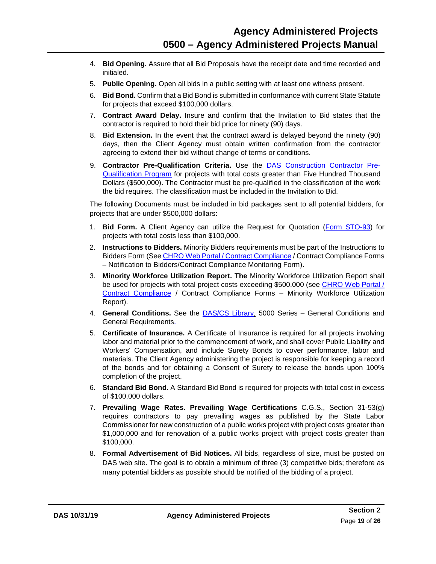- 4. **Bid Opening.** Assure that all Bid Proposals have the receipt date and time recorded and initialed.
- 5. **Public Opening.** Open all bids in a public setting with at least one witness present.
- 6. **Bid Bond.** Confirm that a Bid Bond is submitted in conformance with current State Statute for projects that exceed \$100,000 dollars.
- 7. **Contract Award Delay.** Insure and confirm that the Invitation to Bid states that the contractor is required to hold their bid price for ninety (90) days.
- 8. **Bid Extension.** In the event that the contract award is delayed beyond the ninety (90) days, then the Client Agency must obtain written confirmation from the contractor agreeing to extend their bid without change of terms or conditions.
- 9. **Contractor Pre-Qualification Criteria.** Use the [DAS Construction Contractor Pre-](https://portal.ct.gov/DAS/Procurement/PreQual/DAS-Construction-Contractor-Prequalification-Program/Documents)[Qualification Program](https://portal.ct.gov/DAS/Procurement/PreQual/DAS-Construction-Contractor-Prequalification-Program/Documents) for projects with total costs greater than Five Hundred Thousand Dollars (\$500,000). The Contractor must be pre-qualified in the classification of the work the bid requires. The classification must be included in the Invitation to Bid.

The following Documents must be included in bid packages sent to all potential bidders, for projects that are under \$500,000 dollars:

- 1. **Bid Form.** A Client Agency can utilize the Request for Quotation [\(Form STO-93\)](http://das.ct.gov/Purchase/Info/Agency_Request_For_Quote_(STO-93).pdf) for projects with total costs less than \$100,000.
- 2. **Instructions to Bidders.** Minority Bidders requirements must be part of the Instructions to Bidders Form (See [CHRO Web Portal / Contract Compliance](https://www.ct.gov/chro/taxonomy/v4_taxonomy.asp?DLN=45583&chroNav=|45583|) / Contract Compliance Forms – Notification to Bidders/Contract Compliance Monitoring Form).
- 3. **Minority Workforce Utilization Report. The** Minority Workforce Utilization Report shall be used for projects with total project costs exceeding \$500,000 (see [CHRO Web](https://www.ct.gov/chro/taxonomy/v4_taxonomy.asp?DLN=45583&chroNav=|45583|) Portal / [Contract Compliance](https://www.ct.gov/chro/taxonomy/v4_taxonomy.asp?DLN=45583&chroNav=|45583|) / Contract Compliance Forms – Minority Workforce Utilization Report).
- 4. **General Conditions.** See the [DAS/CS Library,](https://portal.ct.gov/DAS/Lists/DAS-Construction-Services-Library) 5000 Series General Conditions and General Requirements.
- 5. **Certificate of Insurance.** A Certificate of Insurance is required for all projects involving labor and material prior to the commencement of work, and shall cover Public Liability and Workers' Compensation, and include Surety Bonds to cover performance, labor and materials. The Client Agency administering the project is responsible for keeping a record of the bonds and for obtaining a Consent of Surety to release the bonds upon 100% completion of the project.
- 6. **Standard Bid Bond.** A Standard Bid Bond is required for projects with total cost in excess of \$100,000 dollars.
- 7. **Prevailing Wage Rates. Prevailing Wage Certifications** C.G.S., Section 31-53(g) requires contractors to pay prevailing wages as published by the State Labor Commissioner for new construction of a public works project with project costs greater than \$1,000,000 and for renovation of a public works project with project costs greater than \$100,000.
- 8. **Formal Advertisement of Bid Notices.** All bids, regardless of size, must be posted on DAS web site. The goal is to obtain a minimum of three (3) competitive bids; therefore as many potential bidders as possible should be notified of the bidding of a project.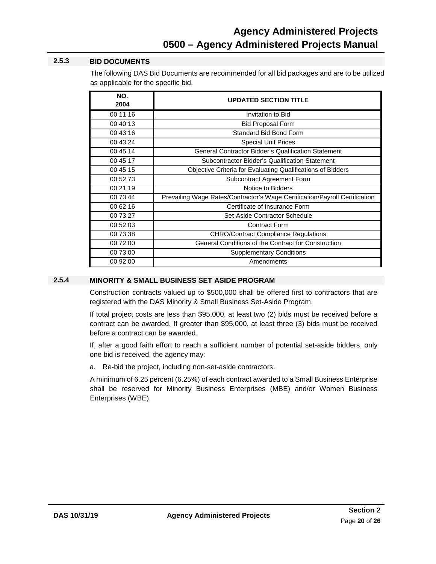#### **2.5.3 BID DOCUMENTS**

The following DAS Bid Documents are recommended for all bid packages and are to be utilized as applicable for the specific bid.

| NO.<br>2004 | <b>UPDATED SECTION TITLE</b>                                                |
|-------------|-----------------------------------------------------------------------------|
| 00 11 16    | Invitation to Bid                                                           |
| 00 40 13    | <b>Bid Proposal Form</b>                                                    |
| 00 43 16    | Standard Bid Bond Form                                                      |
| 00 43 24    | <b>Special Unit Prices</b>                                                  |
| 00 45 14    | General Contractor Bidder's Qualification Statement                         |
| 00 45 17    | Subcontractor Bidder's Qualification Statement                              |
| 00 45 15    | Objective Criteria for Evaluating Qualifications of Bidders                 |
| 00 52 73    | Subcontract Agreement Form                                                  |
| 00 21 19    | Notice to Bidders                                                           |
| 00 73 44    | Prevailing Wage Rates/Contractor's Wage Certification/Payroll Certification |
| 00 62 16    | Certificate of Insurance Form                                               |
| 00 73 27    | Set-Aside Contractor Schedule                                               |
| 00 52 03    | <b>Contract Form</b>                                                        |
| 00 73 38    | <b>CHRO/Contract Compliance Regulations</b>                                 |
| 00 72 00    | General Conditions of the Contract for Construction                         |
| 00 73 00    | <b>Supplementary Conditions</b>                                             |
| 00 92 00    | Amendments                                                                  |

#### **2.5.4 MINORITY & SMALL BUSINESS SET ASIDE PROGRAM**

<span id="page-22-0"></span>Construction contracts valued up to \$500,000 shall be offered first to contractors that are registered with the DAS Minority & Small Business Set-Aside Program.

If total project costs are less than \$95,000, at least two (2) bids must be received before a contract can be awarded. If greater than \$95,000, at least three (3) bids must be received before a contract can be awarded.

If, after a good faith effort to reach a sufficient number of potential set-aside bidders, only one bid is received, the agency may:

a. Re-bid the project, including non-set-aside contractors.

A minimum of 6.25 percent (6.25%) of each contract awarded to a Small Business Enterprise shall be reserved for Minority Business Enterprises (MBE) and/or Women Business Enterprises (WBE).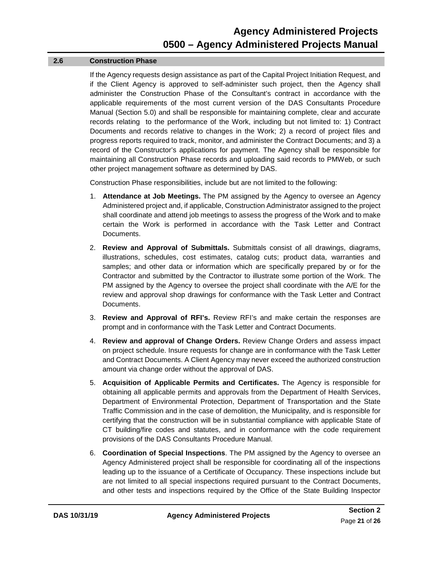#### **2.6 Construction Phase**

If the Agency requests design assistance as part of the Capital Project Initiation Request, and if the Client Agency is approved to self-administer such project, then the Agency shall administer the Construction Phase of the Consultant's contract in accordance with the applicable requirements of the most current version of the DAS Consultants Procedure Manual (Section 5.0) and shall be responsible for maintaining complete, clear and accurate records relating to the performance of the Work, including but not limited to: 1) Contract Documents and records relative to changes in the Work; 2) a record of project files and progress reports required to track, monitor, and administer the Contract Documents; and 3) a record of the Constructor's applications for payment. The Agency shall be responsible for maintaining all Construction Phase records and uploading said records to PMWeb, or such other project management software as determined by DAS.

Construction Phase responsibilities, include but are not limited to the following:

- 1. **Attendance at Job Meetings.** The PM assigned by the Agency to oversee an Agency Administered project and, if applicable, Construction Administrator assigned to the project shall coordinate and attend job meetings to assess the progress of the Work and to make certain the Work is performed in accordance with the Task Letter and Contract Documents.
- 2. **Review and Approval of Submittals.** Submittals consist of all drawings, diagrams, illustrations, schedules, cost estimates, catalog cuts; product data, warranties and samples; and other data or information which are specifically prepared by or for the Contractor and submitted by the Contractor to illustrate some portion of the Work. The PM assigned by the Agency to oversee the project shall coordinate with the A/E for the review and approval shop drawings for conformance with the Task Letter and Contract Documents.
- 3. **Review and Approval of RFI's.** Review RFI's and make certain the responses are prompt and in conformance with the Task Letter and Contract Documents.
- 4. **Review and approval of Change Orders.** Review Change Orders and assess impact on project schedule. Insure requests for change are in conformance with the Task Letter and Contract Documents. A Client Agency may never exceed the authorized construction amount via change order without the approval of DAS.
- 5. **Acquisition of Applicable Permits and Certificates.** The Agency is responsible for obtaining all applicable permits and approvals from the Department of Health Services, Department of Environmental Protection, Department of Transportation and the State Traffic Commission and in the case of demolition, the Municipality, and is responsible for certifying that the construction will be in substantial compliance with applicable State of CT building/fire codes and statutes, and in conformance with the code requirement provisions of the DAS Consultants Procedure Manual.
- 6. **Coordination of Special Inspections**. The PM assigned by the Agency to oversee an Agency Administered project shall be responsible for coordinating all of the inspections leading up to the issuance of a Certificate of Occupancy. These inspections include but are not limited to all special inspections required pursuant to the Contract Documents, and other tests and inspections required by the Office of the State Building Inspector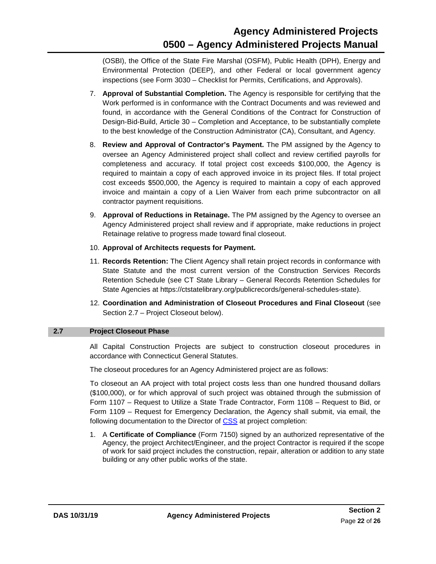(OSBI), the Office of the State Fire Marshal (OSFM), Public Health (DPH), Energy and Environmental Protection (DEEP), and other Federal or local government agency inspections (see Form 3030 – Checklist for Permits, Certifications, and Approvals).

- 7. **Approval of Substantial Completion.** The Agency is responsible for certifying that the Work performed is in conformance with the Contract Documents and was reviewed and found, in accordance with the General Conditions of the Contract for Construction of Design-Bid-Build, Article 30 – Completion and Acceptance, to be substantially complete to the best knowledge of the Construction Administrator (CA), Consultant, and Agency.
- 8. **Review and Approval of Contractor's Payment.** The PM assigned by the Agency to oversee an Agency Administered project shall collect and review certified payrolls for completeness and accuracy. If total project cost exceeds \$100,000, the Agency is required to maintain a copy of each approved invoice in its project files. If total project cost exceeds \$500,000, the Agency is required to maintain a copy of each approved invoice and maintain a copy of a Lien Waiver from each prime subcontractor on all contractor payment requisitions.
- 9. **Approval of Reductions in Retainage.** The PM assigned by the Agency to oversee an Agency Administered project shall review and if appropriate, make reductions in project Retainage relative to progress made toward final closeout.
- 10. **Approval of Architects requests for Payment.**
- 11. **Records Retention:** The Client Agency shall retain project records in conformance with State Statute and the most current version of the Construction Services Records Retention Schedule (see CT State Library – General Records Retention Schedules for State Agencies at https://ctstatelibrary.org/publicrecords/general-schedules-state).
- 12. **Coordination and Administration of Closeout Procedures and Final Closeout** (see Section 2.7 – Project Closeout below).

#### <span id="page-24-0"></span>**2.7 Project Closeout Phase**

All Capital Construction Projects are subject to construction closeout procedures in accordance with Connecticut General Statutes.

The closeout procedures for an Agency Administered project are as follows:

To closeout an AA project with total project costs less than one hundred thousand dollars (\$100,000), or for which approval of such project was obtained through the submission of Form 1107 – Request to Utilize a State Trade Contractor, Form 1108 – Request to Bid, or Form 1109 – Request for Emergency Declaration, the Agency shall submit, via email, the following documentation to the Director of [CSS](mailto:craig.russell@ct.gov) at project completion:

1. A **Certificate of Compliance** (Form 7150) signed by an authorized representative of the Agency, the project Architect/Engineer, and the project Contractor is required if the scope of work for said project includes the construction, repair, alteration or addition to any state building or any other public works of the state.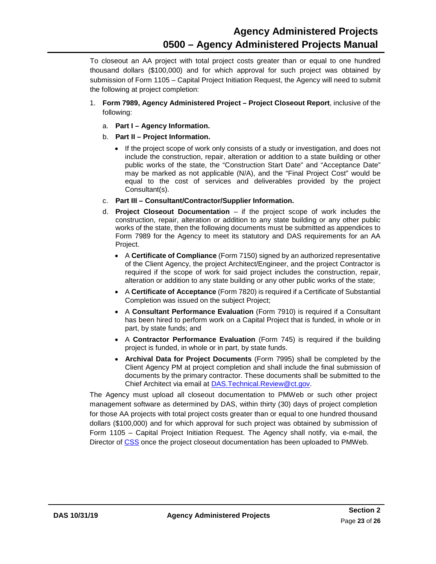To closeout an AA project with total project costs greater than or equal to one hundred thousand dollars (\$100,000) and for which approval for such project was obtained by submission of Form 1105 – Capital Project Initiation Request, the Agency will need to submit the following at project completion:

- 1. **Form 7989, Agency Administered Project – Project Closeout Report**, inclusive of the following:
	- a. **Part I – Agency Information.**
	- b. **Part II – Project Information.** 
		- If the project scope of work only consists of a study or investigation, and does not include the construction, repair, alteration or addition to a state building or other public works of the state, the "Construction Start Date" and "Acceptance Date" may be marked as not applicable (N/A), and the "Final Project Cost" would be equal to the cost of services and deliverables provided by the project Consultant(s).
	- c. **Part III – Consultant/Contractor/Supplier Information.**
	- d. **Project Closeout Documentation** if the project scope of work includes the construction, repair, alteration or addition to any state building or any other public works of the state, then the following documents must be submitted as appendices to Form 7989 for the Agency to meet its statutory and DAS requirements for an AA Project.
		- A **Certificate of Compliance** (Form 7150) signed by an authorized representative of the Client Agency, the project Architect/Engineer, and the project Contractor is required if the scope of work for said project includes the construction, repair, alteration or addition to any state building or any other public works of the state;
		- A **Certificate of Acceptance** (Form 7820) is required if a Certificate of Substantial Completion was issued on the subject Project;
		- A **Consultant Performance Evaluation** (Form 7910) is required if a Consultant has been hired to perform work on a Capital Project that is funded, in whole or in part, by state funds; and
		- A **Contractor Performance Evaluation** (Form 745) is required if the building project is funded, in whole or in part, by state funds.
		- **Archival Data for Project Documents** (Form 7995) shall be completed by the Client Agency PM at project completion and shall include the final submission of documents by the primary contractor. These documents shall be submitted to the Chief Architect via email at [DAS.Technical.Review@ct.gov.](mailto:DAS.Technical.Review@ct.gov)

The Agency must upload all closeout documentation to PMWeb or such other project management software as determined by DAS, within thirty (30) days of project completion for those AA projects with total project costs greater than or equal to one hundred thousand dollars (\$100,000) and for which approval for such project was obtained by submission of Form 1105 – Capital Project Initiation Request. The Agency shall notify, via e-mail, the Director of [CSS](mailto:craig.russell@ct.gov) once the project closeout documentation has been uploaded to PMWeb.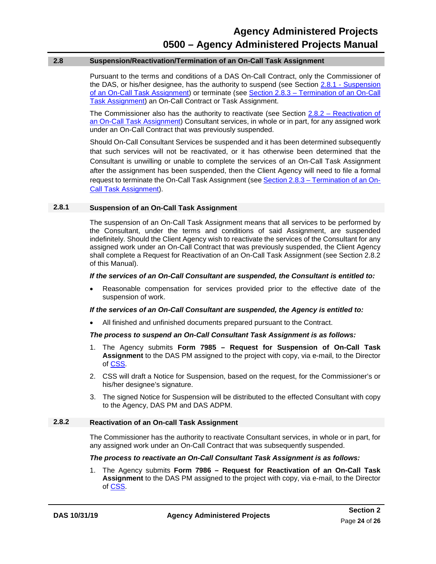#### <span id="page-26-1"></span>**2.8 Suspension/Reactivation/Termination of an On-Call Task Assignment**

Pursuant to the terms and conditions of a DAS On-Call Contract, only the Commissioner of the DAS, or his/her designee, has the authority to suspend (see Section 2.8.1 - [Suspension](#page-26-2)  [of an On-Call Task Assignment\)](#page-26-2) or terminate (see Section 2.8.3 – [Termination of an On-Call](#page-27-0)  [Task Assignment\)](#page-27-0) an On-Call Contract or Task Assignment.

The Commissioner also has the authority to reactivate (see Section  $2.8.2$  – Reactivation of [an On-Call Task Assignment\)](#page-26-0) Consultant services, in whole or in part, for any assigned work under an On-Call Contract that was previously suspended.

Should On-Call Consultant Services be suspended and it has been determined subsequently that such services will not be reactivated, or it has otherwise been determined that the Consultant is unwilling or unable to complete the services of an On-Call Task Assignment after the assignment has been suspended, then the Client Agency will need to file a formal request to terminate the On-Call Task Assignment (see Section 2.8.3 – [Termination of an On-](#page-27-0)[Call Task Assignment\)](#page-27-0).

#### <span id="page-26-2"></span>**2.8.1 Suspension of an On-Call Task Assignment**

The suspension of an On-Call Task Assignment means that all services to be performed by the Consultant, under the terms and conditions of said Assignment, are suspended indefinitely. Should the Client Agency wish to reactivate the services of the Consultant for any assigned work under an On-Call Contract that was previously suspended, the Client Agency shall complete a Request for Reactivation of an On-Call Task Assignment (see Section 2.8.2 of this Manual).

#### *If the services of an On-Call Consultant are suspended, the Consultant is entitled to:*

• Reasonable compensation for services provided prior to the effective date of the suspension of work.

#### *If the services of an On-Call Consultant are suspended, the Agency is entitled to:*

• All finished and unfinished documents prepared pursuant to the Contract.

#### *The process to suspend an On-Call Consultant Task Assignment is as follows:*

- 1. The Agency submits **Form 7985 – Request for Suspension of On-Call Task Assignment** to the DAS PM assigned to the project with copy, via e-mail, to the Director of [CSS.](mailto:craig.russell@ct.gov)
- 2. CSS will draft a Notice for Suspension, based on the request, for the Commissioner's or his/her designee's signature.
- 3. The signed Notice for Suspension will be distributed to the effected Consultant with copy to the Agency, DAS PM and DAS ADPM.

#### <span id="page-26-0"></span>**2.8.2 Reactivation of an On-call Task Assignment**

The Commissioner has the authority to reactivate Consultant services, in whole or in part, for any assigned work under an On-Call Contract that was subsequently suspended.

#### *The process to reactivate an On-Call Consultant Task Assignment is as follows:*

1. The Agency submits **Form 7986 – Request for Reactivation of an On-Call Task Assignment** to the DAS PM assigned to the project with copy, via e-mail, to the Director of [CSS.](mailto:craig.russell@ct.gov)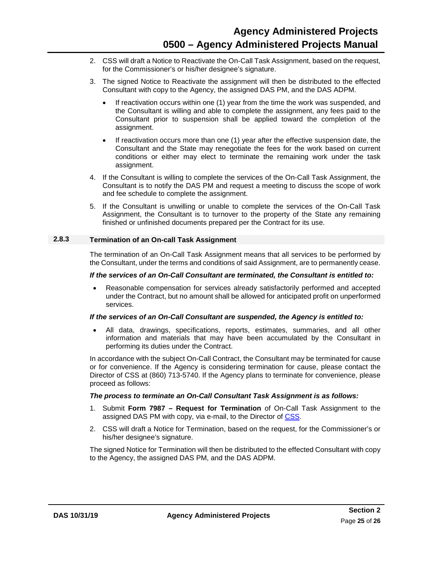- 2. CSS will draft a Notice to Reactivate the On-Call Task Assignment, based on the request, for the Commissioner's or his/her designee's signature.
- 3. The signed Notice to Reactivate the assignment will then be distributed to the effected Consultant with copy to the Agency, the assigned DAS PM, and the DAS ADPM.
	- If reactivation occurs within one (1) year from the time the work was suspended, and the Consultant is willing and able to complete the assignment, any fees paid to the Consultant prior to suspension shall be applied toward the completion of the assignment.
	- If reactivation occurs more than one (1) year after the effective suspension date, the Consultant and the State may renegotiate the fees for the work based on current conditions or either may elect to terminate the remaining work under the task assignment.
- 4. If the Consultant is willing to complete the services of the On-Call Task Assignment, the Consultant is to notify the DAS PM and request a meeting to discuss the scope of work and fee schedule to complete the assignment.
- 5. If the Consultant is unwilling or unable to complete the services of the On-Call Task Assignment, the Consultant is to turnover to the property of the State any remaining finished or unfinished documents prepared per the Contract for its use.

#### <span id="page-27-0"></span>**2.8.3 Termination of an On-call Task Assignment**

The termination of an On-Call Task Assignment means that all services to be performed by the Consultant, under the terms and conditions of said Assignment, are to permanently cease.

#### *If the services of an On-Call Consultant are terminated, the Consultant is entitled to:*

• Reasonable compensation for services already satisfactorily performed and accepted under the Contract, but no amount shall be allowed for anticipated profit on unperformed services.

#### *If the services of an On-Call Consultant are suspended, the Agency is entitled to:*

• All data, drawings, specifications, reports, estimates, summaries, and all other information and materials that may have been accumulated by the Consultant in performing its duties under the Contract.

In accordance with the subject On-Call Contract, the Consultant may be terminated for cause or for convenience. If the Agency is considering termination for cause, please contact the Director of CSS at (860) 713-5740. If the Agency plans to terminate for convenience, please proceed as follows:

#### *The process to terminate an On-Call Consultant Task Assignment is as follows:*

- 1. Submit **Form 7987 – Request for Termination** of On-Call Task Assignment to the assigned DAS PM with copy, via e-mail, to the Director of [CSS.](mailto:craig.russell@ct.gov)
- 2. CSS will draft a Notice for Termination, based on the request, for the Commissioner's or his/her designee's signature.

The signed Notice for Termination will then be distributed to the effected Consultant with copy to the Agency, the assigned DAS PM, and the DAS ADPM.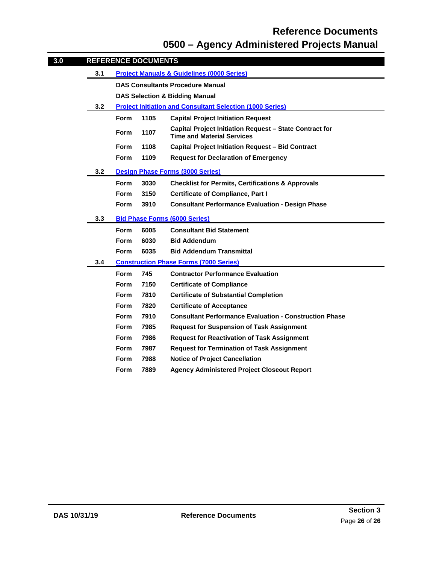### **Reference Documents 0500 – Agency Administered Projects Manual**

<span id="page-28-0"></span>

| 3.0 |     |             | <b>REFERENCE DOCUMENTS</b> |                                                                                                     |
|-----|-----|-------------|----------------------------|-----------------------------------------------------------------------------------------------------|
|     | 3.1 |             |                            | <b>Project Manuals &amp; Guidelines (0000 Series)</b>                                               |
|     |     |             |                            | <b>DAS Consultants Procedure Manual</b>                                                             |
|     |     |             |                            | <b>DAS Selection &amp; Bidding Manual</b>                                                           |
|     | 3.2 |             |                            | <b>Project Initiation and Consultant Selection (1000 Series)</b>                                    |
|     |     | <b>Form</b> | 1105                       | <b>Capital Project Initiation Request</b>                                                           |
|     |     | <b>Form</b> | 1107                       | <b>Capital Project Initiation Request - State Contract for</b><br><b>Time and Material Services</b> |
|     |     | <b>Form</b> | 1108                       | <b>Capital Project Initiation Request - Bid Contract</b>                                            |
|     |     | <b>Form</b> | 1109                       | <b>Request for Declaration of Emergency</b>                                                         |
|     | 3.2 |             |                            | <b>Design Phase Forms (3000 Series)</b>                                                             |
|     |     | <b>Form</b> | 3030                       | <b>Checklist for Permits, Certifications &amp; Approvals</b>                                        |
|     |     | <b>Form</b> | 3150                       | <b>Certificate of Compliance, Part I</b>                                                            |
|     |     | <b>Form</b> | 3910                       | <b>Consultant Performance Evaluation - Design Phase</b>                                             |
|     | 3.3 |             |                            | <b>Bid Phase Forms (6000 Series)</b>                                                                |
|     |     | <b>Form</b> | 6005                       | <b>Consultant Bid Statement</b>                                                                     |
|     |     | <b>Form</b> | 6030                       | <b>Bid Addendum</b>                                                                                 |
|     |     | <b>Form</b> | 6035                       | <b>Bid Addendum Transmittal</b>                                                                     |
|     | 3.4 |             |                            | <b>Construction Phase Forms (7000 Series)</b>                                                       |
|     |     | <b>Form</b> | 745                        | <b>Contractor Performance Evaluation</b>                                                            |
|     |     | Form        | 7150                       | <b>Certificate of Compliance</b>                                                                    |
|     |     | <b>Form</b> | 7810                       | <b>Certificate of Substantial Completion</b>                                                        |
|     |     | <b>Form</b> | 7820                       | <b>Certificate of Acceptance</b>                                                                    |
|     |     | <b>Form</b> | 7910                       | <b>Consultant Performance Evaluation - Construction Phase</b>                                       |
|     |     | <b>Form</b> | 7985                       | <b>Request for Suspension of Task Assignment</b>                                                    |
|     |     | <b>Form</b> | 7986                       | <b>Request for Reactivation of Task Assignment</b>                                                  |
|     |     | <b>Form</b> | 7987                       | <b>Request for Termination of Task Assignment</b>                                                   |
|     |     | Form        | 7988                       | <b>Notice of Project Cancellation</b>                                                               |
|     |     | <b>Form</b> | 7889                       | <b>Agency Administered Project Closeout Report</b>                                                  |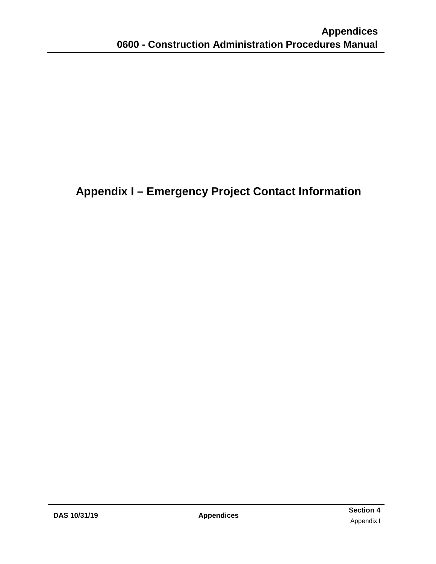## <span id="page-29-0"></span>**Appendix I – Emergency Project Contact Information**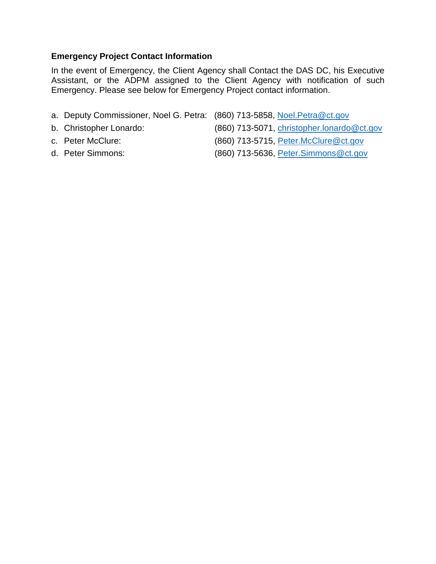#### **Emergency Project Contact Information**

In the event of Emergency, the Client Agency shall Contact the DAS DC, his Executive Assistant, or the ADPM assigned to the Client Agency with notification of such Emergency. Please see below for Emergency Project contact information.

- a. Deputy Commissioner, Noel G. Petra: (860) 713-5858, Noel. Petra@ct.gov
- 
- 
- 
- b. Christopher Lonardo: (860) 713-5071, [christopher.lonardo@ct.gov](mailto:christopher.lonardo@ct.gov)
- c. Peter McClure: (860) 713-5715, [Peter.McClure@ct.gov](mailto:Peter.McClure@ct.gov)
- d. Peter Simmons: (860) 713-5636, [Peter.Simmons@ct.gov](mailto:Peter.Simmons@ct.gov)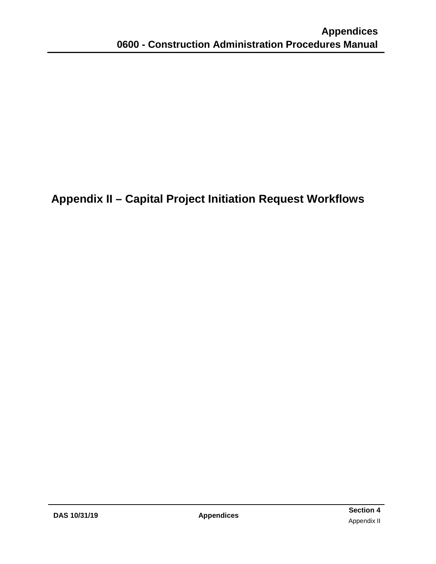<span id="page-31-0"></span>**Appendix II – Capital Project Initiation Request Workflows**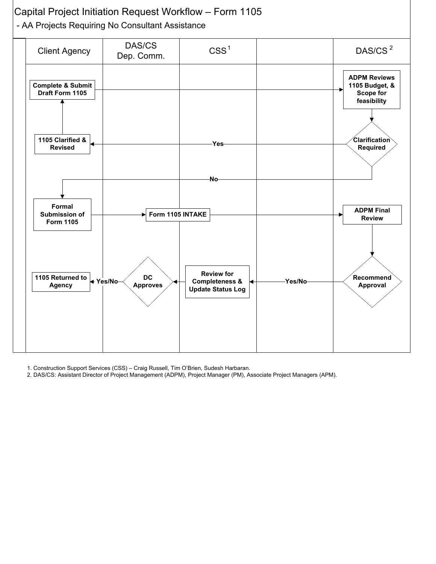

- 1. Construction Support Services (CSS) Craig Russell, Tim O'Brien, Sudesh Harbaran.
- 2. DAS/CS: Assistant Director of Project Management (ADPM), Project Manager (PM), Associate Project Managers (APM).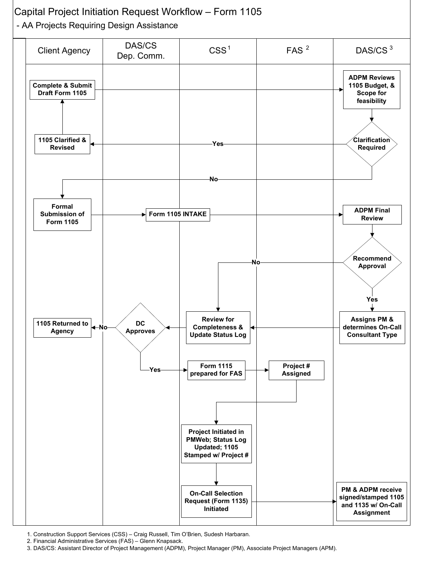

1. Construction Support Services (CSS) – Craig Russell, Tim O'Brien, Sudesh Harbaran.

2. Financial Administrative Services (FAS) – Glenn Knapsack.

3. DAS/CS: Assistant Director of Project Management (ADPM), Project Manager (PM), Associate Project Managers (APM).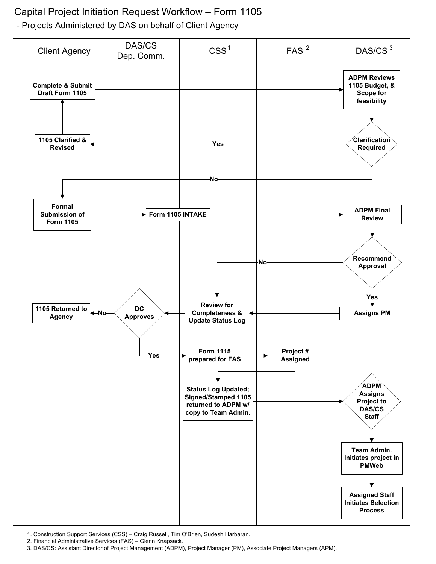

1. Construction Support Services (CSS) – Craig Russell, Tim O'Brien, Sudesh Harbaran.

2. Financial Administrative Services (FAS) – Glenn Knapsack.

3. DAS/CS: Assistant Director of Project Management (ADPM), Project Manager (PM), Associate Project Managers (APM).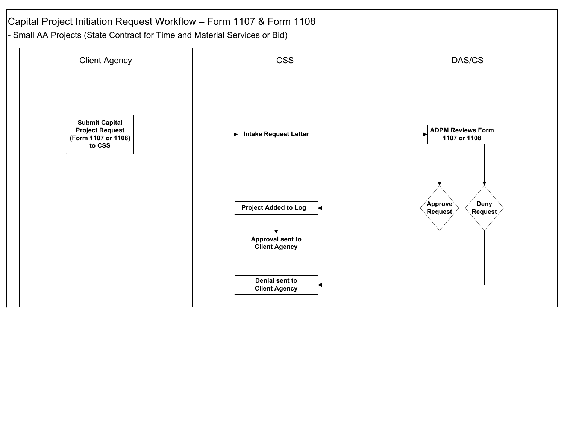